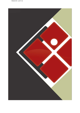

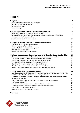# CONTENT

| Background                                                                                    | $\overline{\mathbf{c}}$ |
|-----------------------------------------------------------------------------------------------|-------------------------|
| Views and opinions raised with the Commission                                                 | $\mathbf{3}$            |
| Core concerns of the Commission                                                               | 5                       |
| Purposes of this paper                                                                        | 6                       |
| Parts of the paper                                                                            | $\overline{7}$          |
| Part One: What United Nations rules and conventions say                                       | 8                       |
| Rules for the Protection of Juveniles Deprived of their Liberty                               | 8                       |
| Standard Minimum Rules for the Administration of Juvenile Justice (the Beijing Rules)         | 9                       |
| Convention on the Rights of the Child                                                         | 9                       |
| Key elements of the Covenant and Rules                                                        | 10                      |
| Part Two: A 'snapshot' of secure care provided elsewhere                                      | 11                      |
| New South Wales - Therapeutic secure care                                                     | 11                      |
| Victoria - Secure welfare services                                                            | 12                      |
| Western Australia - Secure care arrangement                                                   | 13                      |
| Scotland - Secure care estate                                                                 | 14                      |
| England - Secure accommodation network                                                        | 15                      |
| Part Three: Past, present and proposed reasons for detaining Queensland children              | 16                      |
| The circumstances under which Queensland children can currently be detained                   | 17                      |
| Detention of children on arrest or sentence for a criminal offence                            | 17                      |
| Detention for the assessment and/or treatment of mental illness                               | 18                      |
| Other circumstances under which children may be detained                                      | 19                      |
| The relationship between secure care and youth detention                                      | 20                      |
| The relationship between secure care and secure mental health services                        | 26                      |
| The role and purpose to be served by secure care (if any) by secure care                      | 31                      |
| Part Four: Other major consideration factors                                                  | 36                      |
| Who should determine children's admission and length of stay in secure care and what (if any) |                         |
| restrictions should apply to their admission or length of stay?                               | 36                      |
| What avenues and rights of review and appeal should be made available to children who are     |                         |
| detained in secure care?                                                                      | 38                      |
| How many and where should secure care facilities be located in Queensland?                    | 39                      |
| How 'secure' is 'secure'?                                                                     | 41                      |
| How restrictive should secure care practices and procedures be?                               | 44                      |
| What programs and services should be provided for resident children?                          | 46                      |
| How is cultural safety to be promoted?                                                        | 47                      |
| What are the costs of providing secure care?                                                  | 48                      |
| References                                                                                    | 50                      |

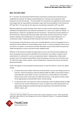# BACKGROUND

On 1<sup>st</sup> July 2012, the Queensland Child Protection Commission of Inquiry (the Commission) was established for purposes of making recommendations for 'charting a new roadmap for child protection over the next decade'. The Honourable Tim Carmody SC was appointed as Commissioner and charged with the responsibility of providing a report with recommendations to the Premier by  $30<sup>th</sup>$  April 2013. The due date for this report has recently been extended to  $30<sup>th</sup>$  June 2013.

Witnesses appearing at public hearings of the inquiry as well as written submissions lodged by individuals and organisations have raised the introduction of a 'secure care' option for children  $<sup>1</sup>$  $<sup>1</sup>$  $<sup>1</sup>$  in</sup> Queensland as a matter for consideration by the Commission. The topic also receives attention in the Commission's *February 2013 Discussion Paper* which notes that the Commission has "heard evidence relating to the establishment of a therapeutic secure care model of placement, or a 'containment model'" (Queensland Child Protection Commission of Inquiry, 2013, p135).

For the purposes of this discussion, secure care is broadly defined as a form of congregate care in a setting from which children are not permitted to leave at will. In various jurisdictions where secure care exists as an option, a more precise and fuller description may be used to define the particular model and approach to secure care that has been adopted locally.

Reflective of the diversity of models and approaches to secure care that have been adopted, the views and opinions that have been submitted to the Commission vary widely in relation to their presentations of a rationale for a secure care placement option. Subsequently, similarly wide variations exist in the opinions being offered about the purposes of secure care, its functions and 'fit' within the range of other systems, service and placement responses that may be accessed by Queensland children.

Factors that appear to have prompted interested parties to raise the need for a secure care option include:

- an opinion that some children need to be contained within a secure care setting, but do not meet the criteria for detention under the *Mental Health Act 2000* or incarceration within a youth detention centre either on arrest or sentence for a criminal offence in accordance with provisions of the *Youth Justice Act 1992* and moreover, in the opinion of some, would not be appropriately contained within either of these settings
- an observation that, even when the criteria for detention under the *Mental Health Act 2000* may be met, the current infrastructure of 'acute' in‐patient units within Queensland is not appropriately designed to provide the long‐term placements and treatment that these children require, and

<span id="page-2-0"></span> $1$  The terms 'child' and 'children' have been used to refer to persons aged 0 to 17 years. Where specifically referring to older children in their teenage years, the terms 'adolescent child/ren' or 'young person/people' have been used.



-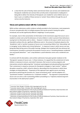a view that the suite of kinship, foster and intensive foster care services and residential and therapeutic residential care services that currently exists in Queensland is inadequate in being able to deliver the intensity of therapeutic care needed for some children due to, at least in part, an inability of these services to 'contain' these children through the use of various security measures.

## **Views and opinions raised with the Commission**

Within written submissions and/or evidence verbally provided to the Commission, most proponents of secure care generally refer to multiple purposes that may be served in having this option introduced, but ascribe significantly different 'weightings' to each purpose.

For example, most in their presentation of information to the Commission argue that secure care is needed to contain and curtail the behaviours of some children in order to prevent these behaviours causing harm to themselves and/ or others. However in relation to the ways in which secure care is intended to achieve this aim, significant differences exist in the amount of emphasis placed on the 'disciplinary' and/ or 'punitive' purposes of secure care in preventing children from 'absconding' and in managing 'unruly, defiant and criminal behaviour'. In response to ways in which secure care was being described during some of the public hearings, dialogue that transpired with two witnesses led Commissioner Carmody to summarise the purpose of secure care as "something between residential care and (youth) detention" <sup>[2](#page-2-0)</sup> and "a step between a youth detention centre and a residential care facility"[3](#page-3-0) .

In contrast with this description, some written submissions have given greater emphasis to the 'therapeutic' purpose of secure care. In these instances, it is argued that the containment of some children is necessary to ensure, coercively if necessary, their access to various programs and interventions aimed at addressing their "emotional, psychological and educational/learning needs"<sup>[4](#page-3-1)</sup>. Their containment is viewed as necessary for therapeutic strategies to "gain traction"<sup>[5](#page-3-2)</sup> without disruption caused by a child's refusal to attend or absconding from the premises in which these strategies are being delivered. Proponents of this approach warn against secure care being perceived as performing the functions of a "quasi‐correctional centre" and the adoption of a "punishment mindset" in preference to a "treatment mindset"<sup>[6](#page-3-3)</sup>. The argument is presented that secure care can serve a role in preventing children proceeding on a "trajectory towards long-term incarceration in the adult prison system"<sup>[7](#page-3-4)</sup>.

<span id="page-3-4"></span><span id="page-3-3"></span><span id="page-3-2"></span><span id="page-3-1"></span><span id="page-3-0"></span>New Zealand College of Psychiatrists, September 2012 (p23)



<span id="page-3-5"></span><sup>1</sup> 

<sup>&</sup>lt;sup>2</sup> Transcript, Peter Waugh, 4 October 2012, Beenleigh (p19: line 34)<br><sup>3</sup> Transcript, Antoine Payet, 3 October 2012, Beenleigh (p23: line 3)<br><sup>4</sup> Submission of Queensland Branch of the Faculty of Child and Adolescent Psych New Zealand College of Psychiatrists, September 2012 (p23)<br>
<sup>5</sup> Submission of Mercy Family Services, December 2012 (p50)<br>
<sup>6</sup> Submission of Mercy Family Services, December 2012 (p50)<br>
<sup>7</sup> Submission of Queensland Branch of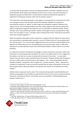In contrast with the description of secure care falling somewhere in between residential care and youth detention which implies that residential care per se has, at least, some level of punitive or disciplinary purpose associated with it, Commissioner Carmody summarised this approach as "detention for therapeutic purposes rather than for punitive reasons"<sup>[8](#page-3-5)</sup>.

In line with these contrasting approaches, some appear to conceptualise the containment of a child as an emergent measure that should be strictly time‐limited by regulation for purposes of intermittently serving as an 'adjunct' to other longer term therapeutic programs, placement and support services that are being provided to the child. Others appear to perceive the containment aspect as ongoing and integral to the long-term care of a child within a residential setting. Where the latter view is held, preferences stated in relation to the length of secure care placements range from "12 to 24 months or more" <sup>[9](#page-4-0)</sup> through to open-ended periods of time "informed by assessment, rather than a blanket regulation"<sup>[10](#page-4-1)</sup>.

Whilst not explicitly stated within written submissions, it appears that the children for whom secure care is presented as a possible option represent a sub-set of children who are in the guardianship of the 'chief executive'<sup>[11](#page-4-2)</sup> (i.e. it has not been suggested that secure care also be made available for the detention of children who are not in the guardianship of the chief executive, which is unlike other settings such as youth detention centres and mental health facilities in which children are currently detained).

It is noted that to the best of PeakCare's knowledge, no written submissions have been made to the Commission as yet that oppose the introduction of a secure care option, which is not to suggest that this opinion is not held by a number of parties with an interest in this matter. It is also noted however that one witness, when questioned about the need for "facilities whereby both therapeutic services as well as some restrictive practices were applied... (for)... some young people who have discipline problems" indicated her lack of support for a "punitive response... (that)... represents an escalation to containment" when we cannot be satisfied that the types of therapeutic services exist that are better able to effectively address and respond to the reasons for the behaviours of these  $children<sup>12</sup>$ .

Another witness expressed concerns about "the comparison being made to (youth) detention and whether young people have the ability to understand that they're not in secure care because they've necessarily committed an offence" and whether secure care would be "institutionalising young people in another way"<sup>13</sup>.

<span id="page-4-4"></span><span id="page-4-3"></span><span id="page-4-2"></span><span id="page-4-1"></span>

 $\overline{a}$ 

<span id="page-4-5"></span><sup>&</sup>lt;sup>8</sup> Transcript, Peter Waugh, 4 October 2012, Beenleigh (p21: line 9)<br><sup>9</sup> Submission of Queensland Branch of the Faculty of Child and Adolescent Psychiatry, Royal Australian and

<span id="page-4-0"></span>New Zealand College of Psychiatrists, September 2012 (p23)<br><sup>10</sup> Submission of Mercy Family Services, December 2012 (p51)<br><sup>11</sup> The term 'chief executive' has been used in the same manner in which it is used in the *Child P* 1999 (i.e. it refers to the Director-General of the Department of Communities, Child Safety and Disability Services).<br><sup>12</sup> Transcript, Natalie Lewis, 16 January 2013, Brisbane (p61: line 7)<br><sup>13</sup> Transcript, Marissa Sherry, 7 February 2013, Brisbane (p50: line 11)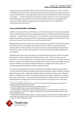During testimony by Ms Margaret Allison, Director-General of the Department<sup>[14](#page-4-5)</sup> within one of the concluding hearings of the inquiry, Ms Allison expressed reservations about returning to practices of the past where there was a "blurring between what we now call youth detention centres and secure care facilities". Ms Allison stated that her strong reservations about secure care are also based on her longstanding concerns about the "paucity of mental health services for young adolescents ... (and) ... great deal of difficulty of getting access to mental health services for adolescents manifesting extreme behaviours"<sup>15</sup>.

## **Core concerns of the Commission**

Central to the concerns of the current inquiry, as stated by Commissioner Carmody, is assessing the extent to which the State should exercise legislated authority in "interfering with family privacy and autonomy". Commissioner Carmody stated, "It can only do that on clear and transparent grounds that the community is willing to permit that's consistent with contemporary values that are shared and you can only act, if you're the State, in accordance with the law"<sup>[16](#page-5-1)</sup>.

Notwithstanding the wide variations in the views and opinions submitted to the Commission about the purpose of secure care and the means and processes for its delivery, a key element that is inherent within all of the proposals is the need for an extension of the legislated authority held by the State to intrude not only on the autonomy of families, but also the civil rights and liberties of some children.

As detailed within other parts of this paper, the authority held by the State to 'contain' individuals, either adults or children, through the imposition of either 'static'<sup>[17](#page-5-2)</sup> and/ or 'dynamic' security measures<sup>[18](#page-5-3)</sup> is strictly restricted by laws to a limited number of circumstances. In relation to most of these circumstances, the relevant laws apply additional restrictions concerning the length of time (if any) and conditions under which a child can be detained in recognition of the lesser levels of maturity and greater vulnerability of children compared to adults.

The importance ascribed by law to the personal liberty of individuals is reflected in Queensland's Criminal Code which states that any person who unlawfully confines or detains another in any place against the person's will, or otherwise unlawfully deprives another of the other person's liberty is guilty of a misdemeanour (s.355). The maximum penalty for the offence of deprivation of liberty is three years imprisonment. As defined by the Australian Defence Lawyers Alliance, "Deprivation of liberty simply means taking away the free choice of a person to move about as he or she wants"

<span id="page-5-4"></span><span id="page-5-3"></span><span id="page-5-2"></span><span id="page-5-1"></span><span id="page-5-0"></span>as surveillance, supervision and /or actions taken to physically restrain or obstruct a person's egress from or movements within a designated location



<sup>&</sup>lt;sup>14</sup> The term 'Department' has been used to refer to the Queensland Government agency responsible for administering the Child Protection Act 1999<br><sup>15</sup> Transcript, Margaret Allison, 26 February 2013, Brisbane (P105: line 7)<br><sup>16</sup> Transcript, Natalie Lewis, 16 January 2013, Brisbane (p7: line 24)<br><sup>17</sup> For the purposes of this

structures, property or 'electronic' equipment intended to detect, prevent and/or impede a person's egress from a designated location<br><sup>18</sup> For the purposes of this discussion, 'dynamic' security measures are defined as person-related activities such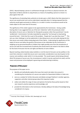(2013). Beyond keeping a person in confinement through use of force or physical restraint, the deprivation of liberty extends to using threats as a means of compelling a person to remain in a place against their will.

The significance of extending State authority to intrude upon a child's liberty that their placement in secure care would entail must not be understated, especially when it is being proposed that this authority would apply exclusively to children (i.e. an adult in similar circumstances would not be made subject to this same level of intrusion).

The significance of this matter appears to be appreciated by the Commission. During a public hearing when it was suggested that use of the term 'detention' within the previously noted description of secure care as 'detention for therapeutic purposes rather than punishment' may be 'problematic', Commissioner Carmody responded by saying that "we have got to stop beating around the bush. I think that this is part of the problem. People don't say what they mean"<sup>[19](#page-5-4)</sup>. This sets up a clear challenge to not be euphemistic in describing secure care and under‐playing the fact that secure care entails children being deprived of their liberty. Understating the significance of this aspect of secure care belies the gravity of the process to be undertaken by the Commission in weighing up any perceived benefits to children that might possibly arise from the introduction of secure care with the increased level of authority that would need to be vested in the State to allow for this level of intrusion into the civil rights and liberties of some children.

Beyond reaching a determination about whether or not this level of intrusion can be justified, in the event that a decision is made that secure care is warranted, consideration must also be given to the manner and conditions under which it is to be provided. This would require clarity being achieved about the purpose of secure care, the circumstances in which it may be used (and not used), and the means and processes to be employed in governing and administering its delivery.

## **Purposes of this paper**

The purposes of the paper are to:

- identify and methodically explore the issues that need to be taken into account in considering the introduction of a secure care option for Queensland children in State care
- serve as a catalyst for further discussion and debate amongst PeakCare's member agencies, supporters and other interest groups about this important matter
- collect and collate the range of views and opinions formed by these parties based on their own research, practice experience and knowledge, and
- provide this information to the Commission, thereby adding to the body of knowledge being considered in its inquiry.

<span id="page-6-0"></span><sup>1</sup> <sup>19</sup> Transcript, Peter Waugh, 4 October 2012, Beenleigh (p21: line 9)

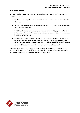## **Parts of the paper**

To assist in 'tracking through' and focussing on the various elements of this matter, the paper is presented in four parts:

- Part 1 summarises aspects of various United Nations conventions and rules relevant to this discussion
- Part 2 provides a 'snapshot' of the various forms of secure care provided in other Australian jurisdictions and elsewhere
- Part 3 identifies the past, present and proposed reasons for detaining Queensland children in State care and what role, if any, secure care might serve in comparison with other system and service responses, and
- Part 4 lists and describes other major consideration factors that it is suggested need to be taken into account in weighing up the possible benefits and detriments of introducing a secure care option within Queensland and, in the event that secure care is introduced within Queensland, the manner and conditions under which it should be delivered.

At intervals throughout Parts 3 and 4 of the paper, opportunity is provided for comments to be entered into the paper either by individuals or representatives of organisations, or in response to facilitated group discussions of PeakCare members and supporters.

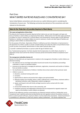# Part One: WHAT UNITED NATIONS RULES AND CONVENTIONS SAY

Some United Nations conventions and rules serve as a useful reference point in considering the introduction of secure care. The following summarises key elements of the conventions and rules relevant to this discussion.

## **Rules for the Protection of Juveniles Deprived of their Liberty**

## *The scope and application of these Rules*

The *Rules for the Protection of Juveniles Deprived of their Liberty* sets out rules that apply to all types and forms of facilities in which children are deprived of their liberty. While Section III of the *Rules* apply specifically to children on arrest or sentence for a criminal offence, the remaining four sections apply to youth detention facilities (i.e. facilities use to detain children on arrest or sentence) as well as all other types of facilities and settings in which children are detained (Rule 15).

For the purpose of the *Rules*, 'deprivation of liberty' is defined as any form of detention or imprisonment or the placement of a child in a public or private custodial setting, from which the child is not permitted to leave at will, by order of any judicial, administrative or other public authority (Rule 11(a)).

A 'juvenile' is defined by the *Rules* as a person under the age of 18 (Rule 11(a)).

As a 'fundamental perspective', the *Rules* stipulate that the deprivation of a child's liberty should be "a disposition of last resort and for the minimum necessary period and should be limited to exceptional cases" (Rule 2).

## *The management of facilities (Section IV)*

Section IV of the *Rules* sets out requirements in relation to the management of facilities in which children are detained including:

- the collection and use of all legal and medical records and records of any disciplinary proceedings undertaken in respect of individual children
- processes to be observed in managing the admission, registration, movements and transfers of children from one facility to another
- the classification and placement of children in facilities that are best suited to their particular needs
- children's access to:
	- o education, vocational training and/or work
	- o recreation
	- o opportunities to observe and practise their religious and spiritual beliefs
	- o adequate medical care including, where a child is suffering from a mental illness, treatment within a specialised institution under independent medical management
	- o regular and frequent visits with family and legal counsel as well as contact with the 'wider community'
	- o services that facilitate their return to the community, and
	- o complaints processes and independent authorities that are empowered to regularly inspect and report on the facilities in which children are detained.

Section IV also addresses practices concerning the use of physical restraint and force, limiting their use to 'exceptional cases' explicitly authorised and specified by law and regulation wherein the physical restraint or force is used to prevent self-injury, injuries to others or serious destruction of property. Corporal punishment is prohibited as is 'placement in a dark cell, closed or solitary confinement'. This section stipulates that

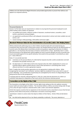children are to be informed of alleged infractions and provided opportunities to present their defence and appeal to an impartial authority.

## **Personnel (Section V)**

Section V of the *Rules* sets out requirements in relation to ensuring that the personnel employed to work within facilities where children are detained:

- are qualified and include a sufficient number of educators, vocational trainers, counsellors, social workers, psychiatrists and psychologists
- are appointed as professional officers with adequate remuneration to attract and retain suitable men and women, and
- receive training in child psychology, child welfare and human rights.

## **Standard Minimum Rules for the Administration of Juvenile Justice (the Beijing Rules)**

Whilst predominantly addressing ways in which children should be dealt with and treated during any involvement they may have with a youth justice system, the *Standard Minimum Rules for the Administration of Juvenile Justice (the Beijing Rules)* nevertheless provide some guidance regarding the detention of children generally (i.e. not only those who have been arrested or sentenced for a crime). Specifically, Rule 3.1 states that the provisions of the *Beijng Rules* shall be applied not only to juvenile offenders but also to juveniles who may be proceeded against for any specific behaviour that would not be punishable if committed by an adult (i.e. 'status offences').

Rules 17.1 (c) and (d) state that:

- (c) restrictions on the personal liberty of a child shall be imposed only after careful consideration and shall be limited to the possible minimum, and
- (d) the deprivation of a child's liberty shall not be imposed unless the child is adjudicated of a serious act involving violence against another person or due to their persistence in committing other serious offences and there is no other appropriate response.

Rule 17 implies that strictly punitive approaches are not appropriate in dealing with children. While recognising that 'just desert' and 'retributive' sanctions might be considered to have some merit in cases of severe offending, "such considerations should always be outweighed by the interest of safeguarding the wellbeing and the future of the young person".

In keeping with the rationale underpinning Rule 17, Rule 19.1 states that the placement of a child in an institution shall always be a disposition of last resort and for the minimum necessary period.

## **Convention on the Rights of the Child**

The *Convention on the Rights of the Child* is a human rights treaty setting out the civil, political, economic, social, health and cultural rights of children. The *Convention* defines a child as any human being under the age of 18, unless the age of majority is attained earlier under a state's own domestic legislation.

Article 3(1) requires countries that are signatories to the *Convention* (such as Australia) to ensure that the best interests of the child are the primary consideration in all actions concerning children.

Specifically in relation to actions taken that deprive children of their liberty, Articles 37(b) and (d) declare that:

(b) No child shall be deprived of his or her liberty unlawfully or arbitrarily. The arrest, detention or



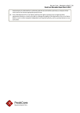imprisonment of a child shall be in conformity with the law and shall be used only as a measure of last resort and for the shortest appropriate period of time.

(d) Every child deprived of his or her liberty shall have the right to prompt access to legal and other appropriate assistance, as well as the right to challenge the legality of the deprivation of his or her liberty before a court or other competent independent and impartial authority, and to a prompt decision on any such action.

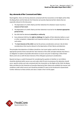## **Key elements of the Covenant and Rules**

Read together, there are five key elements contained with the *Convention on the Rights of the Child*, the *Bejing Rules* and the *Rules for the Protection of Juveniles Deprived of their Liberty* that are especially relevant to this discussion:

- 1. The deprivation of a child's liberty and their detention for whatever reason must be a **measure of last resort**.
- 2. The deprivation of a child's liberty and their detention must be for the **shortest appropriate period of time**.
- 3. No child shall be detained **unlawfully or arbitrarily**.
- 4. Every detained child has the **right to challenge** the legality of their detention before a court or other competent, independent and impartial authority, and to a prompt decision on any such action.
- 5. The **best interests of the child** must be the primary consideration and over‐ride all other considerations that may be relevant to the deprivation of their liberty and detention.

The principles that detention of children should be a last resort option used for the shortest appropriate period of time read with the 'best interests of the child' principle indicates that there is an obligation to explore all possible alternatives to secure care prior to depriving a child of their liberty and to do so with the best interests of the child given paramount consideration.

Beyond serving as a useful framework for considering the question of whether or not children should be detained within secure care and under what (if any) circumstances this detention should occur, specific articles and rules contained with the *Convention on the Rights of the Child*, the *Bejing Rules* and *Rules for the Protection of Juveniles Deprived of their Liberty* also establish the manner and conditions under which secure care should be provided if it were to be introduced to Queensland. Further reference to these articles and rules is made in Part 4 of this paper.

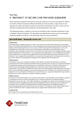# Part Two: A 'SNAPSHOT' OF SECURE CARE PROVIDED ELSEWHERE

Other Australian jurisdictions that have for some time made use of a secure care option for children are Victoria, Western Australia and New South Wales and more recently, a range of secure care responses for adults and children has been commenced in the Northern Territory. Secure care has also been considered by South Australia but not proceeded with in that state.

The following provides a 'snapshot' of secure care provided in other Australian jurisdictions as well as England, Ireland and Scotland. The descriptions provided illustrate some areas of commonality along with significant variations in the approaches taken by various jurisdictions.

## **New South Wales – Therapeutic secure care**

#### *Target group*

The target group is children aged 12 to 17 years in out-of-home care who require intensive care and support, which can only be effectively provided in a secure therapeutic environment to protect them from extreme risk taking or life threatening behaviour such as serious or life threatening self-harming behaviour, serious risk taking behaviour that leads to severe abuse and exploitation, particularly sexual exploitation, drug or substance abuse that leads to severe harm or risk of death. The child must be case managed by the New South Wales Department of Communities (i.e. not a non-government organisation). If case management has already been transferred to a non‐government organisation (as per the New South Wales system that allows for the transfer of case management responsibility to a non‐government organisation), the arrangements concerning the child's admission and ongoing case management are negotiated with the Department.

## *Stated purpose*

Therapeutic secure care is a placement option to keep children safe while their behavioural, emotional, educational and mental and physical and health needs are assessed, their case plans are reviewed and linkages to appropriate support services and treatment are established or enhanced. Usually the child presents in a state of crisis with multiple challenging behaviours and may have been resistant to previous treatment interventions. The intention is to reduce the serious risk to the child arising from their behaviour to the extent that it can be effectively managed in a community setting and return the child to a less restrictive community placement, such as therapeutic residential care, intensive foster care, supported independent living, relative or kinship care or family restoration, as quickly and safely as possible.

#### *Referral process*

A referral is commenced through a case conference that makes a recommendation about whether to apply for a therapeutic secure care order in the Supreme Court. The Director-General must approve seeking a therapeutic secure care order. If the child is Aboriginal, an Aboriginal case worker must be involved in the case conference and other legislated provisions about consulting with family or community must be adhered to. If the child is from a culturally and linguistically diverse (CALD) background, CALD background input or a culturally appropriate person must inform the case conference. For refugee or asylum seeker children with a history of detainment and/ or refugee related trauma, refugee health specialist input is required.

## *Length of stay*

The length of stay is determined by the NSW Supreme Court.

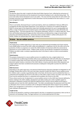## *Authority*

The decision about the order is made by the New South Wales Supreme Court, reflecting the seriousness of detaining a child involuntarily and the exceptional circumstances leading to such a decision being made. The court only makes interim therapeutic secure care orders. The court sets the review dates for each matter and provides instruction to the Department on what information must be provided at the next review (i.e. a court case management model).

#### *Miscellaneous*

There is one facility, Sherwood House in south west Sydney, which was established in February 2009 and is managed by the New South Wales Department. It has capacity for a maximum of 4 residents (though the 2010‐11 annual report of the Department states that it provides placements for up to 5 young people) and offers a range of educational and recreational spaces and facilities including space to meet with family and significant others. The house operates from a 'therapeutic philosophy' and has a 1:2 staff to child ratio. Direct care staff facilitate behavioural change and other interventions are delivered by a range of mental health, education and medical professionals. Community visitors monitor children's welfare while placed in the facility. Children are advised about their rights relating to their detention.

#### **Victoria – Secure welfare services**

#### *Target group*

The target group is children aged 10 to 17 years who are at substantial and immediate risk of harm and the only suitable option to ensure the child's safety and wellbeing (i.e. a significant crisis for the child, not for the protection of others or property) is to restrict the child's freedom of movement within the community by placement at a secure welfare service. Children under 10 years can be placed in exceptional circumstances. Children are either under a custody or guardianship order to the State or under an interim accommodation order (IAO).

#### *Stated purpose*

The purpose of placement in a secure welfare service is to stabilise the crisis, a single incident or an accumulated risk, by addressing immediate safety issues and keeping the child safe while plans are developed or revised to reduce their risk of harm and return the child to the community as soon as possible. As this placement option involves a restriction of the child's liberty, it may be used only where other placement and support options have been considered and assessed as inadequate in being able to protect the child from significant harm.

## *Referral process*

Depending on the child's legal status, the divisional Child Protection Operations Manager (or designated on call manager outside office hours) or the court may make a decision to place the child at a secure welfare service. For children under a custody or guardianship order to the State, the Secretary must be satisfied that there is a substantial and immediate risk of harm to the child, or if the child is under an IAO or any other court order, the Court must be satisfied that there is a substantial and immediate risk of harm to the child.

Three criteria must be met: (1) placement in a secure welfare service is in the child's best interests (defined by factors relating to the child's stability, development and safety needs), (2) no other available support or placement is adequate to protect the child from significant harm, and (3) a secure welfare service place is available and can meet the child's identified needs. The child is consulted about the placement and if the child is Aboriginal, there must be consultation with an Aboriginal Child Specialist Advice Support Service (ACASS). Where case management is contracted to a non-government agency, that agency is responsible for procedural tasks relating to the placement.

## *Length of stay*

A child can be placed for a maximum uninterrupted 21 day limit. In exceptional circumstances, there can be an extension not exceeding 21 days. The legal maximum is an uninterrupted period of 42 days.

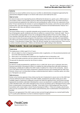#### *Authority*

Admission to a secure welfare service may occur via either an administrative arrangement approved by the appropriately delegated manager or an interim order (secure care) made by the court.

#### *Right of review*

An internal review can be requested by persons affected by the decision (i.e. parent, carer, child) to place or not to place a child in a secure welfare service or about the proposed length of stay. The review outcome is communicated and explained to the child by the next working day (or within 24 hours for a placement of less than 72 hours duration) by the reviewer or a person delegated by the reviewer, and to the care team within 2 business days. Case work decisions can be reviewed by the Victorian Civil and Administrative Tribunal. For a child under an IAO, there are different review provisions.

#### *Miscellaneous*

The secure welfare service is a specialist statewide service located in the north and west region. It provides two 10‐bed gender specific residential units that are staffed on a rostered 24 hour 'stand up' model. There is an initial health screening within 12 hours for an Aboriginal child and within 24 hours for other children. A case meeting is held within 48 hours (or sooner) of admission with the family, case worker, carers/staff and care team to review the purpose and goals of the placement, transition plans, and roles and responsibilities. The child can be actively involved in planning and goal setting to the extent to which this is in each child's best interests. If the placement is longer than 7 days, the '48 hour meeting' sets review timeframes. There must be a written transition and exit plan. Children are told about their rights relating to their detention.

## **Western Australia – Secure care arrangement**

#### *Target group*

The target group is children aged 12 to 17 years:

- who are subject to a short or long term protection order or application, or in the provisional protection and care of the chief executive officer (CEO)
- where there is an immediate and substantial risk of significant harm to themselves, and
- where the broader protection and care network cannot manage or reduce the risks to the child.

The grounds for placement cannot be risk of harm to others.

## *Stated purpose*

As referral is usually precipitated by a significant crisis in a child's life. Secure care is a planned, short term, intensive intervention, the purpose of which is to stabilise the child and keep them safe while reviewing or developing a suitable plan to address the child's needs in readiness for a return to the community. Secure care is the option of last resort where containment is deemed necessary and in keeping with the child's best interests. Secure care is not described as being a residential placement option or a punitive option, but rather as a 'therapeutic care service'.

#### *Referral process*

Similar to the Victorian approach, three criteria must be met: (1) placement in secure care is in the child's best interests (defined by factors relating to the child's stability, development and safety needs); (2) no other available support or placement is adequate to protect the child from significant harm; and (3) there has been appropriate consultation undertaken indicating that a secure care placement is available which can meet the child's identified needs. If the child is Aboriginal, there must be consultation with an Aboriginal Practice Leader prior to authorisation of the placement, if possible. If the child is from a CALD background, there must be consultation with a team leader or Senior Practice Development Officer. If there are complex cultural issues, there must be consultation with a Senior Advisor Cultural Diversity, prior to authorisation of the placement, if possible.

Referral is not appropriate if the child's needs are best serviced through admission to a mental health facility or if a youth justice (detention on arrest or sentence) response is required.

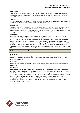#### *Length of stay*

A child can be placed for a maximum uninterrupted 21 day limit ‐ the 'secure care period'. In exceptional circumstances, there can be an extension not exceeding 21 days. The legal maximum is an uninterrupted period of 42 days.

#### *Authority*

Admission to secure care may occur via either an administrative secure care arrangement made by the CEO (or delegate) or an interim order (secure care) made by the Children's Court.

#### *Right of review*

A child, a carer or the child's parents can apply for a 'reconsideration' of the CEO's secure care decision by an 'independent' senior departmental officer regarding the secure care arrangement, the period of the secure care arrangement or an extension of this arrangement. If the person is unhappy with the review outcome, they can apply to the State Administrative Tribunal (SAT) for a review of the decision.

#### *Miscellaneous*

There is one statewide Secure Care Centre (Kath French Secure Care Centre) which commenced operating in mid 2011 and is located east of Perth. From January 2013, there are 6 beds, a cost cutting reduction from the previous 9 beds. The child's care team utilises a therapeutic approach and there are in‐residence educational, health and recreational services. A child's care plan or provisional care plan must be reviewed not more than 2 working days after admission (secure care initial planning meeting). Staff, service representatives, the child's family and the child participate. Secure care arrangements are subject to inspection and quality assurance through external assessors appointed by the Departmental CEO. Family contact is encouraged and facilitated. Children are told about their rights relating to their detention.

## **Scotland – Secure care estate**

#### *Target group*

The target group is children under the age of 16 years who are in need of care and protection for their own safety or who commit offences (i.e. present a risk to others), notwithstanding the acknowledged overlap between the two groups.

#### *Stated purpose*

The purpose of secure care is to keep the child safe, 'set boundaries' and re-engage them with support and positive activities.

#### *Miscellaneous*

There were more beds than demand in 2009. Scotland now has 106 secure care places spread across seven dedicated secure care units which provide a full curriculum of care, delivering a range of educational, health and behavioural programs for children. The units undertake tailored programs of work to prepare children for their transition back into the community. Because the nature of secure accommodation in Scotland is strongly influenced by being located within services for 'looked‐after‐children' and the welfare‐based children's hearings system, regardless of the protection or offending reasons for their referral to a secure care unit, all children receive a welfare‐based service in a child‐centred setting. The average cost of a secure placement during 2007‐08 was £4,500 per week.

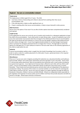## **England – Secure accommodation network**

#### *Target group*

The target group is children aged 10 to 17 years. The child:

- must have a history of absconding and is likely to abscond from anything other than secure accommodation, and
- if the child absconds, is likely to suffer significant harm, or
- if kept in anything other than secure accommodation, is likely to injure themself or other persons.

#### *Referral process*

Secure care is the option of 'last resort' for use after all other options have been comprehensively considered and rejected.

#### *Length of stay*

A first application for secure care can be for up to 3 months and 6 months for a subsequent application to keep the child in the accommodation. Courts often prefer to make 28 day orders. As part of making the case to the court, the social worker must present what they envisage for the child beyond that of secure accommodation. No child can be kept by the local authority in a secure unit once the dangers relating to absconding and harm to self or others no longer exist. A court must regularly decide whether or not these dangers have passed. There is provision for emergency placement but for no longer than 72 hours. The legal right to restrict the liberty of a child aged 16 or 17 years without an interim or full care order relies on the voluntary agreement of the child to reside within the unit.

#### *Authority*

A secure accommodation welfare order is sought from the Family Proceedings Court to protect a child. In order to seek an order for a welfare placement of a child under 13 years, special permission is first required from the Secretary of State.

#### *Miscellaneous*

There are 17 secure care units in England, providing full residential care, educational facilities and healthcare. Some provide 'welfare' and 'youth justice' placements and some specialise in one or the other. Seven of the 17 only provide welfare placements. Most are provided by local authorities with a small number provided by non‐government agencies. A very high level of intensive help is offered to each child, with low child to staff ratios. A secure accommodation review is held within 28 days of admission and at least every 3 months thereafter. These involve one local authority person and two others who are independent of the placement and decision making. The purpose of the review is to ascertain whether or not the criteria for restricting the child's liberty continue to be met. Secure care units are subject to in‐depth regulation through the Office for Standards in Education, Children's Services and Skills (Ofsted). Ofsted is an independent body responsible for the regulation and inspection of services which care for children and those that provide education and skills for learners of all ages. Ofsted reports directly to Parliament.

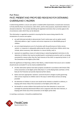# Part Three: PAST, PRESENT AND PROPOSED REASONS FOR DETAINING QUEENSLAND CHILDREN

In determining whether a secure care option is needed within Queensland, it would seem necessary to firstly identify those circumstances under which, and for what purposes, Queensland children can already be detained. This includes identifying the legislated restrictions that currently apply to the circumstances under which they can be detained.

This information is regarded as essential in ensuring that the reasons being stated for the introduction of a secure care option:

- are well-informed and able to demonstrate if and in what ways such an option would effectively address a 'gap' in system and service responses to an identifiable group of children
- are not simply being borne out of a frustration with the performance of other service systems or responses in adequately addressing the needs of particular children which may include, where necessary, their detention in a secure facility, and/ or
- represent an expeditious means of undermining or subverting legislated restrictions to the detention of children that may be soundly based in contemporary practice and/ or are being promoted for reasons other than the 'best interests of the child' as required by Article 3.1 of the *Convention on the Rights of the Child*.

Given the significance of depriving a child or their liberty, a determination that secure care is needed should only be concluded if it can be clearly established that:

- all other alternative options have been properly considered in accordance with Article 37(b) of the *Convention on the Rights of the Child*, Rule 17.1 of the *Beijing Rules* and Rule 2 of the *Rules for the Protection of Juveniles Deprived of their Liberty*
- better and more appropriate 'solutions' cannot be found in changes to policy governing other service responses to children and/ or the ways in which these services are being provided
- the detention of children in secure care would not be viewed as unlawful or arbitrary, in keeping with Article 37(b) of the *Convention on the Rights of the Child*, and
- the benefits to certain children that would arise from their detention in secure care outweigh the potential detrimental effects and is congruent with their best interests, in keeping with Article 3(1) of the *Convention on the Rights of the Child*.

In reaching a conclusion, it should be established that:

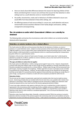- there are clearly discernible differences between the reasons for depriving children of their liberty and detaining them in secure care and those that account for their detention in other settings (such as a youth detention centre or mental health facility)
- the profile, characteristics, needs and/ or behaviours of children detained in secure care would differ from those detained in these other settings, and
- the differing purposes of each secure setting (i.e. secure care, youth detention and secure mental health service) would be reflected in their facility designs and location, staffing arrangements and programming.

# **The circumstances under which Queensland children can currently be detained**

The following table summarises the circumstances under which children can currently be lawfully detained within Queensland.

## **Detention, on arrest or sentence, for a criminal offence**

The *Youth Justice Act 1992* sets out the processes that allow for the detention of children, on arrest or sentence, in a youth detention centre. Subject to certain provisions of the *Youth Justice Act 1992*, the *Bail Act 1980* also applies to a court or police officer when making decisions about the granting of bail to a child. When bail is refused, a child may be held in a youth detention centre or a watchhouse pending their transportation by police officers to a youth detention centre.

Schedule I of the *Act* lists a Charter of Youth Justice Principles, one of which states that "a child should be detained in custody for an offence, whether on arrest or sentence, only as a last resort and for the least time that is justified in the circumstances".

## *The ages of children to whom the Act applies*

The *Youth Justice Act 1992* defines a 'child' as being a person aged 17 years or less. However, Queensland's *Criminal Code* states that children under 10 years of age cannot be regarded as criminally responsible and are therefore excluded from punishment for a criminal offence. Children under the age of 10 are presumed to be *doli incapax*, meaning 'incapable of wrongdoing'. Children aged 10 to 13 years in principle are also not liable to punishment for criminal offences. However, the *doli incapax* principle can be rebutted for this age group and they can be liable if it is proved they had the capacity to know what they were doing was wrong. Once 17 years of age, a young person is treated as an adult with some exceptions provided for within the *Act*.

## *Detention Orders*

The *Act* sets out the range of unsupervised, supervised and custodial orders that may be made by various courts. Sentencing principles that are included within the *Act* state that a non-custodial order is better than detention in promoting a child's ability to reintegrate into the community (s.150(b)) and a detention order should be imposed only as a last resort and for the shortest appropriate period (s.150(e)).

A court may make a detention order against a child only if the court is satisfied that no other sentence is appropriate in the circumstances after considering all other available sentences (s.208(a)) and taking into account the desirability of not holding a child in detention (s.208(b)). It is required that a court consider a detention order when no other sentence is considered appropriate. This is to ensure that detention is only imposed as a last resort.

Detention orders have fixed release dates. Generally, a statutory period of 70% of any sentence is served in detention with the remainder of the sentence spent in the community under terms and conditions set by the Department of Justice and Attorney‐General (s.227(1)). Under special circumstances, a court may order that a

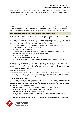minimum of 50% of a detention order is spent in custody (s.227(2)). Non-compliance with the conditions of a supervised release order may result in the child serving the remainder of their sentence in a youth detention centre or receiving a boot camp order (s.246(1)).

A child who is sentenced to detention must serve their period of detention in a youth detention centre (s. 210(1)). Currently, there are two purpose‐built and designed youth detention centres in Queensland – the Brisbane Youth Detention Centre at Wacol and the Cleveland Youth Detention Centre at Townsville.

## **Detention for the assessment and/or treatment of mental illness**

The *Mental Health Act 2000* sets out the processes that allow for persons, whether 'adults or minors', to be detained for involuntary assessment or treatment of a mental illness (s.4).

For the purposes of administering the *Act*, mental illness is defined as "a condition characterised by a clinically significant disturbance of thought, mood, perception or memory" (s.12(1)). The *Act* further stipulates that an adult or child cannot be considered to have a mental illness merely because they:

- hold or refuse to hold a particular religious, cultural, philosophical or political belief or opinion
- belong to a particular racial or socio-economic group
- have a particular sexual preference
- are engaged in sexual promiscuity or other conduct that may be viewed as immoral or indecent
- take drugs or alcohol or are engaged in antisocial or illegal behavior
- have an intellectual disability
- are or have been involved in family conflict, or
- have previously been treated for a mental illness or been made subject to involuntary assessment or treatment .

The *Act* also states that any power exercised under the *Act* (such as authorising involuntary assessment or treatment) should affect a person's liberty and rights only if no other less restrictive ways can be used to protect the person's health and safety or to protect others, and the effect on their liberty and rights are to be the minimum necessary in the circumstances (s.9).

#### *Involuntary assessments*

In setting out the processes that enable an involuntary assessment to be undertaken by an authorised doctor, the *Act* allows for a person to be detained in a public hospital or mental health facility for up to 24 hours with provision for this time period to be extended by an authorised doctor to a maximum of 72 hours.

## *Involuntary Treatment Orders*

An Involuntary Treatment Order may be made by an authorised doctor for the treatment of a person's mental illness without that person's consent. The Order may be used to authorise community‐based treatment or the involuntary detention of the person receiving treatment at a mental health facility. In making an Involuntary Treatment Order, it must be established that:

- there is an imminent risk that the person will harm him or herself or another person, or
- the person is likely to suffer serious mental or physical deterioration, and
- there is no less restrictive way of treating the person, and
- the person lacks the capacity to consent to the treatment or has unreasonably refused treatment  $(s.14(1))$

An Involuntary Treatment Order ends after 72 hours unless it is confirmed by a psychiatrist within that time

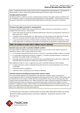frame. If confirmed, the Order remains in force until it is revoked by the authorised doctor or the Director of Mental Health, or upon a review by the Mental Heath Review Tribunal or appeal of that decision.

## *Classified patient provisions*

The *Mental Health Act 2000* also includes 'classified patient provisions' that apply to adults and children who are remanded in custody or serving a period of imprisonment or youth detention. These provisions authorise the person's detention in an authorised mental health facility for involuntary assessment or treatment.

## *Provisions that apply exclusively to 'young patients'*

The *Mental Health Act 2000* includes some provisions that apply exclusively to 'young patients' in order to safeguard their best interests. These include:

- stricter time frames for reviews by the Mental Health Review Tribunal of a young patient's detention in a high security unit (s. 194(1))
- a stipulation that the administrator of a high security unit must not agree to the admission of a young patient for assessment without the approval of the Director of Mental Health (s.53(2)), and
- a requirement that the Director of Mental Health immediately notify the Mental Health Review Tribunal of their approval for, or ordering of, the transfer of an involuntary young patient to a high security unit.

## **Other circumstances under which children may be detained**

## *Detention of persons with a controlled notifiable condition*

The *Public Health Act 2005* allows for chief executive orders of up to 24 hours to be made for purposes of detaining an adult or child in a public health service when:

- it is reasonably suspected that the person has, or may have, a controlled notifiable condition (s.113(1)(a)
- it is reasonably suspected that the person's condition, or condition and likely behaviour, constitutes an immediate risk to public health (s.113(1)(b)), and
- reasonable attempts have been unsuccessfully made at counselling the person about the condition and its possible effects on the person's health and on public health (s.113(1)(c).

Upon application made to a court, a magistrate may make a controlled notification order including:

- $\bullet$  an initial examinations order (s.116(1)(a)) during which the person may be detained for up to 72 hours  $(s.119(1)(b))$
- a behavioural order (s.116(1)(a)), or
- a detention order  $(s.116(1)(a))$  for up to 28 days  $(s.130(1)(a))$ .

## *Detention of persons pending processing of their claim for asylum*

The Commonwealth *Migration Act 1958* allows for the detention of children, either accompanied or unaccompanied by adults, to be detained pending the processing of their claim for asylum. Most children who are detained are in the company of adults who have overstayed their visas or who are seeking asylum after having arrived in Australia without a visa. While Australian law makes no distinction between the detention of children and adults in these circumstances, Government policy states a preference for children to not be detained in immigration centres. Where children are accommodated in low‐security facilities, priority is to be given to promptly accommodating them in community detention allowing them to receive support from nongovernment organisations and state welfare agencies.

As indicated by the information contained within the above table, Queensland children can only be detained for highly specified purposes enshrined in legislation. Of particular relevance to this discussion are:

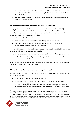- the circumstances under which children are currently detained on arrest or sentence under the *Youth Justice Act 1992* or for purposes relating to their mental health under the *Mental Health Act 2000*, and
- the ways in which, if any, secure care would cater for children in different circumstances and for a different purpose<sup>20</sup>.

## **The relationship between secure care and youth detention**

In keeping with national trends at the time, proclamation of the *Juvenile Justice Act 1992* (now referred to as the *Youth Justice Act 1992*) represented a shift from 'welfare model' principles that were reflected in provisions of the former *Children's Service Act 1965*, to a 'justice model'. In essence, the justice model promotes notions that:

- children are primarily responsible for their own behaviours
- courts should be responsible for adjudicating their guilt or innocence, and
- where guilt is established, courts are responsible for ordering a response that is proportionate to the child's offences and culpability.

Consistent with these notions, key youth justice principles incorporated within Schedule 1 of the *Act* state that "A child who commits an offence should be:

(a)held accountable and encouraged to accept responsibility for the offending behaviour; and

(b) dealt with in a way that will give the child the opportunity to develop in responsible, beneficial and acceptable ways".

Sentencing principles stated within the *Act* also require that there be a "fitting proportion between the sentence and the offence" (Section 150(1)(k)).

## *Why was there a shift from a welfare model to a justice model?*

The shift in philosophy towards a justice model was intended to answer widespread criticisms of the welfare model including:

- the lack of due process and rights accorded to children
- the excessive use of discretionary powers exercised by child welfare bureaucracies
- the incarceration of children in detention centres for non-criminal matters including, in particular, 'status offending' (i.e. actions that are considered to be 'offences' due to the age

<span id="page-21-0"></span><sup>&</sup>lt;sup>20</sup> This statement is not intended to be dismissive in any way of the significance of actions taken to detain children with a controlled notifiable condition or those who are detained pending the processing of their claim for asylum or the impact of this detention on the wellbeing of affected children. It is noted that in New South Wales, it is appropriately required that the history of refugee and asylum seeking children's detention must be taken into account if the placement of these children in therapeutic secure care is being sought.



1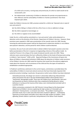of a child such as truancy, running away and promiscuity, for which an adult would not be 'prosecuted'), and

 the indeterminate 'sentencing' of children to detention for periods not proportionate to their offence/s and the vulnerability of children to 'harsher punishments' than those imposed upon adults.

Under the *Children's Services Act 1965*, provision existed for a child to be "deemed to be in need of care and control if:

- (a) the child is falling or is likely to fall into a life of vice or crime or addiction to drugs;
- (b) the child is exposed to moral danger; or
- (c) the child is or appears to be uncontrollable".

Under the *Act*, a child could be committed to a 'care and control' order and be detained in a detention centre at the direction of the Director, Department of Children's Services. However, those provisions were repealed in 1992 upon proclamation of the *Juvenile Justice Act 1992*, thereby removing the administrative powers held by the Department to determine whether or not children were placed in detention, and the period for which children could be detained.

In practice, the use of care and control orders to detain children had ceased in practice some time before proclamation of the *Act* in response to longstanding criticisms of the welfare model. As noted by O'Connor in his critique of the newly introduced *Juvenile Justice Act 1992*, "Many reformers were concerned about the harm suffered by children at the hands of bureaucracies acting in children's 'best interests'" (1992, p129). Reported findings of the *Commission of Inquiry into Abuse of Children in Queensland Institutions* (1999) about the detention of children under provisions of the *Children's Services Act 1965* noted the injustices that issued from the arbitrary judgements made about the character and circumstances of the child and thus the types of treatment or rehabilitation considered appropriate.

In PeakCare's preliminary submission to the current inquiry, commentary is provided about the vulnerability of children to moral and cultural constructs that have historically impacted child protection practice including, in particular, the grounds on which some children have been detained:

*Somewhat perversely, the danger of a moral or cultural bias influencing child protection policy and practice has also in the past disadvantaged children whose families have a 'mainstream' demographic profile. These were the children from 'good families' who were too frequently not heard or believed when they complained of being abused or whose behaviours in acting out the trauma of their abuse, were misinterpreted and dealt with in a punitive manner.*

*Within commentary contained in the 1967 Director's Annual Report of the Queensland Department of Children's Services explaining the high numbers of 'intractable' girls detained in 'training homes', a conclusion was drawn, "The problem involving girls is generally morals, but in a few cases they have been involved in offences". A developing awareness of sexual abuse and public outcry about the high numbers of children, 'status offending' female children in particular, being detained in the Wilson Youth Hospital*

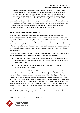*eventually prompted the establishment of a Commission of Inquiry. The Demack Report that was released in 1976 recommended the use of alternative facilities and services for adolescent girls and emphasised community responsibility and treatment in preference to their detention. However, the legislated ability to detain 'uncontrollable' children on the* grounds of being 'likely to fall into a life of vice' remained in place until the early  $1990s^{21}$ .

As summarised by O'Connor (1992) in his description of the rationale for a shift to a justice model, "The benefits claimed for the justice model are that children are accorded the same legal process rights accorded to adults, intervention is restricted to criminal matters, and sentencing is proportionate to the child's deeds, rather than needs" (1992, pp129‐130).

## *Is secure care a 'back to the future' response?*

To the best of PeakCare's knowledge, no submissions have been made to the Commission recommending that youth detention centres be used as secure care facilities (i.e. it has not been suggested that the same secure facility be used to accommodate children on arrest or sentence for a criminal offence and children who are being detained in secure care). Invariably however, statements pertaining to the use of secure care to detain children for reasons of 'absconding, unruly, defiant and criminal behaviour' draw obvious comparisons with past practices in detaining children who were made subject to care and control orders, even if their detention were to take place in a separate facility.

As such, it may be expected that many of the same concerns previously held about the detention of children in accordance with a welfare model will re-emerge including, in particular:

- the opening of an avenue to have children detained without being accorded due process or rights concerning the adjudication of their alleged offences (or indeed, their non‐criminal 'misbehaviour'), and
- the imposition of a 'penalty' that deprives children of their liberty that may be disproportionate to their 'offence'.

Concerns may be especially anticipated in relation to secure care creating the potential for inequitable and arbitrary treatment of some cohorts of children (such as Aboriginal and Torres Strait Islander children who are already grossly over‐represented within and at all points of both the child protection and youth justice systems and, as was traditionally the case, adolescent girls). These concerns are borne out of not only Queensland's own history of detaining children as highlighted by findings of the *Commission of Inquiry into Abuse of Children in Queensland Institutions* (1999), but also emerging trends within other States. For example, analysis of Victorian data has found that female children are more likely to be both admitted and re-admitted into secure care than males.

<span id="page-23-0"></span>A matter of particular concern is the extent to which the introduction of a secure care option for children displaying 'absconding, unruly, defiant or criminal behaviour' may potentially dilute

<sup>&</sup>lt;sup>21</sup> Submission of PeakCare Queensland, October 2012, p11



-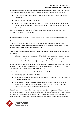Queensland's adherence to principles contained within the *Convention on the Rights of the Child*, the *Bejing Rules* and the *Rules for the Protection of Juveniles Deprived of their Liberty*, namely that:

- a child's detention must be a measure of last resort and be for the shortest appropriate period of time
- no child should be detained arbitrarily, and
- every detained child has the right to challenge the legality of their detention before a court or other competent, independent and impartial authority, and to a prompt decision on any such action.

These are principles that are generally reflected within the *Youth Justice Act 1992* and which underpinned the shift to a justice model.

## *Do other jurisdictions establish a clear distinction between youth detention and secure care?*

It appears that other Australian jurisdictions have attempted in a number of ways to address concerns about the "blurring between what we now call youth detention centres and secure care facilities" noted in the testimony of Ms Margaret Allison.

Major ways in which distinctions appear to have been drawn between youth detention and secure care include:

- making use of a separate infrastructure of facilities for youth detention and secure care, and
- defining the target population for secure care and establishing 'admission criteria' that excludes children for whom a youth justice response is deemed to be more appropriate.

For example, the *Secure Care Background Paper* produced by the Western Australian Department in February 2011 clearly states, "Secure care is not appropriate for children ... who require a juvenile justice response such as detention/ remand facilities" (p2).

Referral guidelines currently used in Western Australia also state that secure care is:

- not for the purpose of 'punitive detention'
- not to be used as an alternative option for children who are remanded in custody or serving a period of detention, and
- not to be used to be used where risk of harm to others is the only ground for a child's admission. (In cases of serious incidents involving physical harm to others and criminal offences, these matters are to be referred to the police.)

The distinctions drawn by Australian states between a youth justice response and the use of secure care are not as apparent in some overseas jurisdictions. In Scotland, for example, where 106 secure care placements are provided by seven secure care units, the children who are accommodated within these units include a 'mix' of non-offending children in need of protection (i.e. for their own

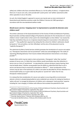safety) and children who have committed offences (i.e. for the safety of others). In England where there are 17 secure care units, some provide both 'youth justice' and 'welfare' placements while others specialise in one or the other.

As such, the United Kingdom's approach to secure care may be seen as more reminiscent of Queensland youth detention practices under the *Children's Services Act 1965* operating in accordance with the now abandoned welfare model.

## *Would secure care be a 'stepping‐stone' to imprisonment or provide the diversion some children need?*

The written submission of the Queensland Branch of the Faculty of Child and Adolescent Psychiatry, Royal Australian and New Zealand College of Psychiatrists advocates for the introduction of a 'secure children's home' model similar to that used in the United Kingdom so that children "can receive the help they need before they are on a trajectory towards long-term incarceration in the adult prison system"<sup>22</sup>. They qualify their argument by stating that the criteria for children's admissions should be based on "risk and welfare, not their offending" and the aims of the placement must be "explicitly therapeutic" $^{23}$ .

The submission by Mercy Family Services similarly promotes the introduction of a secure care option as a "therapeutic intervention and not punishment" whilst also acknowledging that "the reality of separating offending behaviour from trauma-related child protection interventions is not always possible"<sup>[24](#page-25-1)</sup>.

Despite efforts which may be made to claim and promote a 'therapeutic' rather than 'punitive' purpose of secure care, it is likely that many children would nevertheless view their detention in secure care as a form of 'punishment'. As speculated by a witness during an inquiry hearing, there may be doubts about "whether young people have the ability to understand that they're not in secure care because they've necessarily committed an offence"<sup>[25](#page-25-2)</sup>. Some corroboration of this concern may be seen in the testimony of a child in care when he described his 24 hour detention in a mental health facility as an action taken by the police to "punish him" rather than for any therapeutic-related purpose $^{26}$  $^{26}$  $^{26}$ .

It is noteworthy that consideration of a secure care option is occurring within an environment wherein criticism is already being levelled at some residential care services for relying too heavily on 'police call‐outs' to manage the behaviours of children and a subsequent 'overly‐punitive' response including the 'over-charging' of children with offences that escalates the potential for their

New Zealand College of Psychiatrists, September 2012 (p23)<br><sup>24</sup> Submission of Mercy Family Services, December 2012 (p50)<br><sup>25</sup> Transcript, Marissa Sherry, 7 February 2013, Brisbane (p50: line 13)<br><sup>26</sup> Transcript de-identifi

<span id="page-25-4"></span><span id="page-25-3"></span><span id="page-25-2"></span><span id="page-25-1"></span><span id="page-25-0"></span>

-

<sup>&</sup>lt;sup>22</sup> Submission of Queensland Branch of the Faculty of Child and Adolescent Psychiatry, Royal Australian and New Zealand College of Psychiatrists, September 2012 (p23)<br><sup>23</sup> Submission of Queensland Branch of the Faculty of Child and Adolescent Psychiatry, Royal Australian and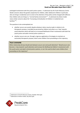prolonged involvement with the youth justice system. A submission by the Youth Advocacy Centre details concerns about the greater propensity for children, older adolescent children in particular, who are living in residential care to come to the attention of the police and be charged with offences than children who are living in a "normal family environment"<sup>27</sup>. A submission by Sisters Inside raises similar concerns about the "increasing criminalisation of children in residential care facilities"<sup>[28](#page-26-0)</sup>.

The questions to be contemplated are:

- whether secure care would, despite whatever claims may be made in relation to its therapeutic purpose, invariably be perceived by children and others as a 'step' towards youth detention which will lead to an increased likelihood of their involvement with both the youth justice and adult criminal justice systems, or
- whether secure care can, through a rigorous application of strategies to maintain an exclusively therapeutic purpose, divert some children from proceeding on this trajectory.

## **Your comments:**

*What relationship (if any) should exist between secure care and youth detention? Would secure care become a 'step towards' youth detention and increase the likelihood of children's involvement with* the youth justice and adult criminal justice systems, or can it be used to divert some children from *proceeding on this trajectory?*

<span id="page-26-1"></span><span id="page-26-0"></span>

<sup>-</sup><sup>27</sup> Submission of Youth Advocacy Centre, October 2912 (p2)<br><sup>28</sup> Submission of Sisters Inside, July 2012 (p3)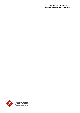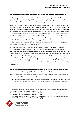## **The relationship between secure care and secure mental health services**

In advocating to the Commission for the introduction of 'secure therapeutic facilities', the Queensland Branch of the Faculty of Child and Adolescent Psychiatry, Royal Australian and New Zealand College of Psychiatrists puts forward a 'two‐pronged' argument.

Firstly, the argument is made that the adolescents who are in need of such facilities "generally do not meet the criteria for detention under the *Mental Health Act 2000*"[29](#page-26-1). The second prong to the argument is based on the current inadequacy of adolescent mental health in‐patient units in being able to deliver the services needed by some children. In particular, it is noted that "such in-patient units are designed for acute (short-term, 2 to 3 week) admissions of young people with an acute, treatable mental illness not long-term therapeutic work". The submission also notes that "even services with capacity for active engagement and intensive follow-up, such as Evolve Therapeutic Services, find them very difficult to locate and engage with" and on the occasions when they are admitted to an in-patient unit, they "cause disruption to the units and to the care of young people with acute mental illness and they often abscond"<sup>[30](#page-28-0)</sup>.

The submission calls for the "development of a new legislative framework which allows for restrictive care of children at extreme risk"<sup>31</sup>. It is not stated however whether this legislative framework should be incorporated within amendments to the *Mental Health Act 2000* or the *Child Protection Act 1999*. Similarly, in calling for the establishment of secure therapeutic facilities similar to those that exist in the United Kingdom, the submission does not articulate the finer details in respect of 'who' would be responsible for the governance, financial resourcing, administration and service delivery of such a facility (i.e. whether it would fall under the 'umbrella' of a child protection response or a mental health response or a 'hybrid' of both) which are critical to fully understanding the proposition.

# *Would secure care serve as an additional response to, or a substitute for, the involuntary assessment or treatment of children in a mental health facility?*

Other submissions and the testimony of witnesses have also generally been unclear about whether their preferred models for secure care would:

 provide a service response that is distinctly different from, and additional to, the involuntary assessment or treatment of children with a mental illness in a secure mental health facility, or

<span id="page-28-1"></span><span id="page-28-0"></span>New Zealand College of Psychiatrists, September 2012 (p23)<br><sup>31</sup> Submission of Queensland Branch of the Faculty of Child and Adolescent Psychiatry, Royal Australian and New Zealand College of Psychiatrists, September 2012 (p23)



<sup>&</sup>lt;sup>29</sup> Submission of Queensland Branch of the Faculty of Child and Adolescent Psychiatry, Royal Australian and New Zealand College of Psychiatrists, September 2012 (p23)<br><sup>30</sup> Submission of Queensland Branch of the Faculty of Child and Adolescent Psychiatry, Royal Australian and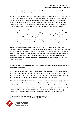serve as a replacement for the assessment or treatment of children with a mental illness in a secure mental health facility.

The *Rules for the Protection of Juveniles Deprived of their Liberty* however are clear in respect of this matter. Section IV(H)(53) states that "a juvenile who is suffering from mental illness should be treated in a specialised institution under independent medical management" . In an apparent recognition of this requirement, the *Secure Care Background Paper* produced by the Western Australian Department for Child Protection in February 2011 states, "Secure care is not appropriate for children whose needs are best serviced through admission to a mental health facility..." (p2).

Current referral guidelines used within Western Australia state that a secure care arrangement:

- is not appropriate when children are exhibiting behaviours indicating possible mental illness in which case, consultation must be undertaken with a qualified practitioner able to assess the extent of the mental condition, prior to any referral to secure care, and
- where a severe mental illness is suspected, requiring medication or a possible inpatient admission, case referral should always occur to those services specialising in such care and treatment, as a priority.

Within New South Wales and Victoria however, the answer is less clear. In New South Wales for example, children who are eligible for involuntary treatment under the *Mental Health Act 2007* may be admitted to therapeutic secure care for a short duration if necessary. The program guidelines also state however that children with a significant, complex mental health condition who require close psychiatric monitoring and treatment must be carefully assessed when placement in therapeutic secure care is being considered and, if admitted, their treatment is to be provided by health professionals.

# *To what extent is the paucity of child mental health services in Queensland driving the call for a secure care option?*

As previously noted, testimony by Ms Margaret Allison included statements of her reservations concerning the introduction of a secure care option based on her longstanding concerns about the "paucity of mental health services for young adolescents...(and)...great deal of difficulty of getting access to mental health services for adolescents manifesting extreme behaviours"<sup>32</sup>.

These concerns match with anecdotal reports received by PeakCare from staff of non‐government organisations in which dissatisfaction is frequently expressed about the scarcity of specialised mental health services available for children as well as the lack of preparedness by those that do exist to diagnose a mental health condition and/or provide treatment, be that in a secure setting or the community. As noted in the testimony of one witness to the inquiry, "there aren't a lot of options within the mental health system for young people with those sort of behaviours"<sup>[33](#page-29-0)</sup>.

<span id="page-29-1"></span><span id="page-29-0"></span>

 $\overline{a}$  $32$  Transcript, Margaret Allison, 26 February 3013, Brisbane (P105: line 28)<br> $33$ Transcript, Greg Wall, 5 February 2013, Brisbane (P40-132: line 10)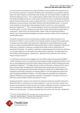It must be viewed as alarming that the range of facilities currently available within Queensland for the involuntary assessment or treatment of children with a mental illness are confined to inpatient beds/ units within hospitals, the Child And Family Therapy Unit at the Royal Children's Hospital and the Barrett Adolescent Centre. This is compounded by evidence before the Commission indicating that the Barrett Adolescent Centre is under review and will close with no commitment having been made by the State Government, as yet, to replace the Centre. As noted in the testimony of Dr Brett McDermott, Executive Director of the Mater Child and Youth Mental Health Service, "to lose this service would be to lose the place of last therapeutic help for some of our most traumatised Queensland adolescents"<sup>[34](#page-29-1)</sup>. This is notwithstanding the concerns also stated by Dr McDermott that the Centre which is currently "sitting out by itself under an adult mental health unit which doesn't understand it" needs reform and would be better located "under the Queensland Children's Hospital" due to the specialised knowledge and expertise required to deliver child and adolescent mental health services.

The dearth of specialist services and professionals resulting in poor quality assessments and treatment for children in care is a problem also frequently noted by non‐government organisations. A complaint commonly made is that assessments undertaken by mental health services usually result in an outcome whereby difficulties being experienced by a child are regarded as 'behavioural' rather than an indication of existing or emerging mental health concerns and therefore not warranting of treatment. For example, in response to questioning about the refusal of an admission of a nine‐year old girl to a mental health unit, another witness stated that "the hospital does not admit children with behaviourals...(despite the)... significant trauma attached to this child and ... extensive history of abuse"<sup>[35](#page-30-0)</sup>.

In a submission to the Commission lodged by the Youth Affairs Network of Queensland (YANQ), a number of specific concerns are raised about the growing percentage of Queensland children in care who are being diagnosed with attention deficit hyperactivity disorder (ADHD) and being prescribed psychotropic medication<sup>36</sup>. The YANQ submission refers to information contained with the annual *Views of Young People in Residential Care Queensland* reports produced by the Commission of Children and Young People and Child Guardian indicating increasing rates of ADHD diagnosis and subsequent psychotropic medication use amongst children in care that significantly exceed rates within the general population of children. The YANQ submission postulates that inappropriate diagnosis of ADHD and use of psychotropic medication is taking place in the absence of access to alternative and more effective health and treatment services.

Speaking specifically in relation to the treatment for adolescent depression provided nationally, Dr McDermott within his testimony to the inquiry stated that, "It was very clear that in certain areas expertise around adolescent health was poor, the number of adolescence centres of excellence were not very widespread, understanding of their differences in presentation of depression in adolescence was fairly poor. It's clearly something that some systems don't do well. Probably they

<span id="page-30-1"></span><span id="page-30-0"></span>

-

<sup>&</sup>lt;sup>34</sup> Transcript, Dr Brett McDermott, 8 November 2012, Brisbane (P58: line 18)<br><sup>35</sup> Transcript, Michelle Bellamy, 7 February 2013, Brisbane (P71: line 43)<br><sup>36</sup> Submission of Youth Affairs Network of Queensland, 2012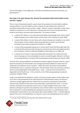do best with children in the middle years, and infants and adolescents they do more poorly, as a generalisation"[37.](#page-30-1)

## *How large is the 'gap' between the 'demand' for specialised child mental health services and their 'supply'?*

There is a lack of Queensland‐specific research about the prevalence of mental health conditions amongst children in care that might be used to measure the 'gap' between the 'demand' for specialised mental health services and their 'supply'. However, research undertaken in other states provides an indication of 'un‐met' demand at a national level and it may be surmised that this is similar to the situation that exists within Queensland. This research includes:

- a study of 347 children in care within New South Wales reporting high levels of poor mental health including trauma-related anxiety and self-injury (Tarren-Sweeney & Hazell, 2006)
- a study of 364 children from four States with a history of placement instability in care which found evidence of these children experiencing high levels of psycho‐social disorders including clinical anxiety and depression (Osborn et al, 2008)
- a survey of 60 young people leaving care in Victoria which found that 50% sought help from a mental health professional after leaving care and almost two-thirds were diagnosed with a form of physical, mental or intellectual disability or illness (Raman et al, 2005), and
- a study of 41 care leavers in New South Wales which found that 71%, within four to five years of leaving care, had contemplated or acted on suicidal thoughts reflected in self‐harm or risk‐taking behaviour and nearly 50% had attempted suicide (Cashmore & Paxman, 2007).

A feature story recently published in the Weekend Australian magazine also gives cause for concern about the prevalence of mental health issues amongst Queensland children for whom there are inadequate and insufficient service responses. Within this article, the Director of the Brisbane Youth Detention Centre is quoted as having said, "They found that 70 per cent of the boys coming in here have some diagnosable mental health issues... (and)... ninety per cent of the girls have a diagnosable mental health issue. In the community, a lot of these young people go unassessed, untreated, unhelped" (2013).

In light of the likelihood that significant numbers of the boys and girls spoken of were children who are or were in the guardianship of the chief executive for child protection reasons, the Director's comments strongly suggest that these children did not commence receiving the mental health treatment they needed until they were incarcerated within a youth detention centre. It must be viewed as extremely concerning these services were not made available to them prior to their detention and begs the question to be asked how many of these children may have been diverted from involvement in criminal offending and subsequent incarceration in a youth detention centre had adequate mental health services and support been made available to them. It similarly begs the question how much is the identification of a need for a secure care optionbeing driven by a lack of

<span id="page-31-0"></span><sup>&</sup>lt;sup>37</sup> Transcript, Dr Brett McDermott, 8 November 2012, Brisbane (P55: line 46)



-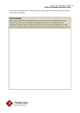accessible mental health services delivered at much earlier stages of difficulties being experienced in the lives of some children.

## **Your comments:**

*What relationship (if any) should exist between secure care and secure mental health services? Should secure care be seen as a different and added response to, or as a substitute for, the involuntary assessment and/ or treatment of children in a secure mental health facility? To what* extent is the call for a secure care option being driven by a lack of accessible mental health services?

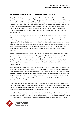## **The role and purpose (if any) to be served by secure care**

The past twenty‐five years have seen significant changes in the circumstances under which Queensland children can be detained and the purposes associated with their detention. Shifts away from a welfare model to a justice model resulted in a cessation of the practice of detaining children deemed to be 'uncontrollable' or 'likely to fall into a life of vice and crime or addiction to drugs'. In parallel with these developments, changes were also occurring in the field of mental health treatment and care. Movement away from institutionalisation and the often degrading and inhumane 'excesses' of the 'medical model' impacted the treatment and care received by both children and adults.

In line with these developments, the Sir Leslie Wilson Youth Hospital which had been used since 1961 to accommodate a 'mix' of children who had broken the law along with those deemed to be emotionally disturbed or simply 'trouble‐makers' was transferred from the control of the Department of Health to the Department of Children's Services in 1983 and re‐named the Sir Leslie Wilson Youth Centre. The centre was re-named again in 1993 when it became the Sir Leslie Wilson Youth Detention Centre before eventually closing in 2001 after its urgent de‐commissioning had been recommended by the 1999 *Commission of Inquiry into Abuse of Children in Queensland Institutions*.

The developments that occurred within both Queensland's youth justice and child mental health systems reflected similar changes that were taking place nationally and internationally, evidenced by the adoption of the detention as a last resort principle stated within the United Nations *Covenant on the Rights of the Child*, the *Beijing Rules* and the *Rules for the Protection of Juveniles Deprived of their Liberty* with this principle evident in both Queensland's *Youth Justice Act 1992* and *Mental Health Act 2000*.

These developments, whilst laudable in their 'tightening up' of the grounds on which children could be detained, also had the effect of exposing a 'gap' in the capacity of the 'system' to deal with the needs and demands of a small cohort of children. These are the children who, due to their displays of extreme and often life‐threatening behaviours previously found themselves being made subject to a 'care and control order' and placed in a youth detention centre or in some instances, a mental health facility or, in respect of those children who were placed in the Sir Leslie Wilson Youth Hospital, a combination of the two.

In effect, the child protection system was left to 'fill the gap' with inadequate service responses at its disposal or thought given to what these responses might be. It may be argued that the exposure of this gap has been exacerbated by growing numbers of children displaying complex behaviours over recent years along with increases in the extremity of their needs.

In part, it may be seen that the Department has attempted to fill this gap through its funding of 'therapeutic residentials'. However, as observed by the Action Cente for Therapeutic Care (ACTCare) in its submission to the Commission, "Relationship between the therapeutic residentials and the

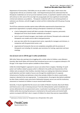Department of Communities, Child Safety are not yet stable in every region, which means that inappropriate referrals are sometimes made. Until Departmental personnel understand that the therapeutic residentials are not set up to be treatment centres, or psychiatric inpatient centres, they will continue to refer some of the very high risk young people who have significant mental health, criminal and substance use problems... Therapeutic residential staff are not trained psychiatric or substance use clinicians, and will struggle to contain and form relationships with this group of young people" $38$ .

The ACTCare submission provides opinion about difficulties experienced by Queensland non‐ government organisations in properly setting up therapeutic residential care including:

- a lack of adequately trained staff able to provide a therapeutic response, particularly Aboriginal and Torres Strait Islander residential care workers
- lack of a pool of trained managers, team leaders and clinicians/ therapists who understand therapeutic care models and are able to lead good practice
- poor pay rates within the non-government sector, especially for managers and clinicians, in comparison with the government sector, and
- organisational frameworks that are not completely compatible with the provision of therapeutic care including, for example, poor provisions for training, supervision and team meetings.

## *Use of secure care to 'fill the gap' in other jurisdictioms*

With other States also seeming to be struggling with a similar cohort of children, some (Western Australia, New South Wales and Victoria) have introduced secure care in an apparent attempt to 'fill the gap' in the range of service options available to these children.

Unlike the United Kingdom's approach to secure care where there is largely a 'blending' of 'youth justice' and 'welfare-related' purposes which is reflected in the profile and characteristics of the children who are placed in their facilities, Australian States are making clear distinctions between youth detention and their models of secure care through the establishment of a separate infrastructure of facilities and admission criteria that excludes children for whom a youth justice response is deemed to be more appropriate. To varying extents, the program descriptions published by other States similarly create some level of delineation between secure care and the involuntary assessment or treatment of children in secure mental health facilities.

Generally, it may be regarded that the secure care models of Western Australia, New South Wales and Victoria serve a role in removing 'pressure' from the child protection system (residential care services delivered by the non‐government sector, in particular) in providing care for a small cohort of children whilst also ensuring that pressure is maintained on the youth justice and mental health systems to properly fulfil their roles in respect of children for whom they exercise responsibilities.

<span id="page-34-0"></span><sup>&</sup>lt;sup>38</sup> Submission of Action Centre for Therapeutic Care, 28 September 2012, (p10)



1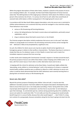Within the program descriptions of these other States, emphasis is placed on the purpose of secure care in keeping children safe. For example, the New South Wales Department of Human Services states that "the defining feature of the target group is behaviour which places the children or young person's life at extreme risk of harm. It is serious risk of harm to self, rather than overall levels of assessed need, which places a child or young person in the target group for secure care".

In accordance with the New South Wales program description, entry into secure care is restricted to children whose behaviours are so extreme that they cannot be managed in a less restrictive setting. These behaviours may include:

- serious or life threatening self-harming behaviour
- serious risk-taking behaviour that leads to severe abuse and exploitation, particularly sexual exploitation, and/ or
- drug or substance abuse that lead to severe harm or risk of death.

The Victorian program description similarly emphasises that secure care is to be used "only when children or young people are at extreme risk and existing community services cannot manage the risk". Admission is likely to be precipitated by a significant crisis.

As such, the children for whom secure care may be an option should not be regarded as an homogenous group in relation to their profile or characteristics. The feature they have in common is simply that they are, for whatever reason, at risk of death or severe harm and in need of an immediate response to prevent this from occurring.

In other words and in keeping with Commissioner Carmody's request to 'not beat around the bush', the primary purpose of secure care within these States is about 'keeping some children alive' or, at least, safe from severe injury or harm when no other alternative means exist to do so.

In keeping with the criteria for admission set by these States, it would seem highly unlikely that 'absconding, unruly, defiant or criminal behaviour' and/ or the existence of a known or suspected mental health condition would be seen as sufficient to allow for a child's admission to secure care unless it could be clearly demonstrated that the child's behaviours were severely harming them or placing them at imminent serious or life‐threatening risk.

## *Secure care, then what?*

Beyond this primary purpose of keeping some children 'alive and safe', it may be seen that additional 'secondary purposes' have been added to the program descriptions developed by each State to ensure that secure care is not simply about providing a 'hiatus' during which time a child may be kept safe through their 'containment', but then free to resume their 'at-risk' behaviours upon their discharge. As commented upon by a witness during questioning about the suitability of a secure care option for a particular child, "I'm not really sure how this young person would actually benefit long term in a secure facility, because then what would happen? ... I don't think it's a longterm solution for young people, because somewhere along the line they're going to be back into the

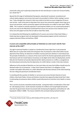community unless you're planning to keep them for the next 60 years in some sort of secure facility, but I doubt that"<sup>39</sup>.

Beyond the full range of individualised therapeutic, educational/ vocational, recreational and cultural safety programs and services that need to be provided to children whilst residing in secure care, "a key message from research is that more needs to be done to ensure integration of secure care services ‐ both at the point of step down from secure into community support and at step up to secure care provision, where community support and intervention are unable to meet need" (Giller, 2006). This is viewed as critically important in ensuring that children are not unnecessarily placed in secure care and can be effectively transitioned from secure care services to less intensive out-ofhome care and support services that are able to meet their needs.

It is noteworthy that following the establishment of a secure care service in New South Wales, a linked step down program had to be developed to allow gradual progress and the continuity of program elements (Fahey and Hardman, 2010).

## *Is secure care compatible with principles of 'detention as a last resort' and the 'best interests of the child'?*

The right to personal freedom is viewed as a fundamental human right that is to be protected. While laws are in place that strictly limit and govern the circumstances under which adults may be deprived of their liberty, the detention of children receives particular attention in international law. The principle of detention as a measure of last resort and for the shortest appropriate period of time that features with the United Nations *Convention on the Rights of the Child*, the *Beijing Rules* and the *Rules for the Protection of Juveniles Deprived of their Liberty* amounts to, in effect, a recognition by the international community that the deprivation of a child's liberty is rarely in their best interests.

Adherence to the principle of detention as a last resort does not mean that children should never be detained under any circumstances. It does mean however that there is an obligation to fully consider and explore alternatives to a child's detention with the best interests of the child remaining the over‐riding and paramount consideration factor.

In wrestling with the question of whether or not secure care serves the best interests of some children, New South Wales, Victoria and Western Australia have apparently determined that it does in extenuating circumstances where children would otherwise be at imminent risk of death or severe harm.

This is not the conclusion reached by South Australia. During that State's consideration of the need for 'safe keeping services', South Australia's Guardian for Children and Young People formed the view that the government should not proceed with introducing the legislation and facilities for 'safe keeping for children' (2008). The reasons stated for this conclusion being reached included:

<span id="page-36-0"></span><sup>1</sup>  $39$  Transcript, Kristina Farrell, 5 February 2013, Brisbane (P74: lines 39-41; p75: lines 3-7)

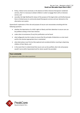- firstly, a failure to be convinced, in the absence of other intensive therapeutic residential services, that it is necessary to detain children in order to engage them with an intensive service, and
- secondly, the high likelihood for abuse of the purpose of the legal orders and facility because there is limited access to community‐based therapeutic services and over demand on the alternative care system.

Queensland's exploration of the role and purpose of secure care necessitates wrestling with the following questions:

- whether the deprivation of a child's rights to liberty and their detention in secure care can be justified as being in their best interests
- under what circumstances (if any) this justification can be found
- what safeguards must be in place to ensure that the principle of detention as a last resort and for the shortest appropriate time is maintained
- what alternatives must first be fully explored and considered before resorting to depriving children of their liberty, and
- in the event that it is determined that secure care can be justified, what role and purpose would it serve within Queensland and for whom would it be provided.

**Your comments:** 

*(In response to any of the above questions)*

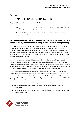Part Four:

# OTHER MAJOR CONSIDERATION FACTORS

This part of the discussion paper lists and briefly describes other factors that warrant consideration in:

- weighing up the perceived benefits (if any) of secure care with the possible detriments of its introduction within Queensland, and
- in the event that secure care is introduced, identifying the means and processes for its management and delivery.

# **Who should determine children's admission and length of stay in secure care and what (if any) restrictions should apply to their admission or length of stay?**

Article 3(1) of the *Convention on the Rights of the Child* requires that individualised decisions be made about the detention of children that take account of each child's best interests as the paramount agenda. This decision‐making should not be limited to the question of whether or not a child needs to be detained however. The best interests of each child must also be given paramount consideration in relation to decisions made about the length of a child's detention and the manner in which they are to be detained.

Article 37(b) states that no child shall be deprived of his or her liberty unlawfully or arbitrarily. In order for Queensland children to be detained in secure care, legislated provisions would need to be proclaimed stipulating the circumstances under which they may be detained (separate to those that allow for their detention in a youth detention centre or mental health facility) and procedures in law established pertaining to all matters relevant to ensuring that their detention is lawful.

Beyond ensuring that the detention of children in secure care is 'lawful', Article 37(b) sets the additional requirement that children are not detained 'arbitrarily'. Despite a child's detention in secure care being lawful under 'domestic law', it may nevertheless be viewed as arbitrary if tested against principles of 'international law'. For example, a child's detention in secure care whilst lawful may still be assessed as arbitrary if:

- there are elements of injustice or inappropriateness concerning the child's detention
- the child's detention is seen to be unreasonable or unnecessary in their particular circumstances, or
- the child's detention is not a proportionate means of achieving the legitimate aims of secure care as stated in law.

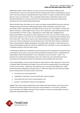## *Secure Care – Needed or Not?* 39 **PeakCare Discussion Paper March 2013**

Additionally, whilst a child's admission to secure care may not be viewed as arbitrary, their continued stay in secure care may become arbitrary if the grounds for their initial detention cease to exist or over time, becomes a disproportionate response that is no longer consistent with the stated goals of a secure care placement. This is especially relevant when consideration is given to the principle of detention as a measure of last resort incorporating the requirement that detention should also be for the shortest appropriate period.

Other Australian States that make use of a secure care option employ different structures, decision‐ making processes and means for addressing the above matters including, in particular, those concerning a child's initial admission and length of stay in secure care. For example, in Victoria and Western Australia, a child's length of stay in secure care is limited to 21 days with provision for this to be extended for a further 21 days. Depending on a child's legal status, delegated senior Departmental Officers may authorise a child's admission to secure care or an interim order (secure care) may be made by a court if the court is satisfied that there is a substantial and immediate risk of harm to the child. Three criteria must be met in determining that a child is eligible for placement in secure care: firstly, the placement must be deemed to be in the child's best interests as defined by factors concerning their stability, development and safety needs; secondly, no other placement or support will adequately protect the child from significant harm; and thirdly, a secure care placement is available and able to meet the child's needs.

In reflecting the significance of detaining a child involuntarily and the exceptional circumstances that would lead to such an action occurring, in New South Wales the Supreme Court is charged with the responsibility of determining whether or not a 'therapeutic secure care order' is made. The Supreme Court makes interim therapeutic secure care orders only, sets review dates and issues instructions to the Department about the information to be provided at the next review.

In the United Kingdom, courts are also the decision‐makers about a child's admission to secure care. In England, Wales and Scotland, the length of stay varies with an average length of stay amounting to three to four months. Despite the role played by courts, a Scottish study (Walker et al, 2005) found that decision‐making was a dynamic process in which the response to each child was shaped by four characteristics of the local context. These were:

- ease of access to secure placements
- availability of 'alternative' resources which offer intensive support
- views about the role of secure accommodation, and
- practice in and attitudes towards risk management.

Together these inter-related considerations have shaped each local authority's use of secure care. Though each authority claimed to be using secure accommodation as a 'last resort', thresholds across authorities were different because of local variation in resources and perceptions of secure placements' potential benefits or harm.

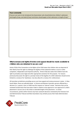## **Your comments:**

*If secure care were to be introduced into Queensland, who should determine children's admission* and length of stay, and what (if any) restrictions should apply to their admission or length of stay?

# **What avenues and rights of review and appeal should be made available to children who are detained in secure care?**

Article 37(d) of the *Convention on the Rights of the Child* states that children who are deprived of their liberty have the right to challenge the legality of their detention before a court or other competent, independent and impartial authority. Article 37(d) also states that children have the right to promptly access legal and other appropriate assistance for this purpose. For reasons previously discussed, the right to a prompt review of the legality of a child's detention should not be limited to a review of its 'lawfulness', but also allow for a review of its 'arbitrariness'.

All Australian jurisdictions providing secure care have appeal and review processes in place. In New South Wales, these are judicially based. In Victoria and Western Australia, persons affected by a decision (i.e. a parent, carer or child) may first request an 'internal' review. Decisions that can be reviewed include those that have been made in relation to the approval or non-approval of a child's placement in secure care or the initial or extended length of the placement. In certain circumstances, parties within Victoria may have casework decisions reviewed by the Victorian Civil and Administrative Tribunal and West Australians may similarly access their State Administrative Tribunal.

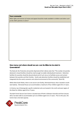**Your comments:** 

*What rights and avenues of review and appeal should be made available to children and others such as the child's parents or carers?*

# **How many and where should secure care facilities be located in Queensland?**

The *Rules for the Protection of Juveniles Deprived of their Liberty* state that "The number of juveniles detained in closed facilities should be small enough to enable individualised treatment. Detention facilities for juveniles should be decentralised and of such size as to facilitate access and contact between the juveniles and their families. Small‐scale detention facilities should be established and integrated into the social, economic and cultural environment of the community" (Rule 30).

Within New South Wales, there is one secure care facility, Sherwood House, that is located in south west Sydney. Sherwood House can accommodate a maximum of four children aged 10 to 17 years.

In Victoria, two 10‐bed gender specific residential units are located in the north and west region of the State for children aged 10 to 17 years.

The Kath French Secure Care Centre is located east of Perth in Western Australia and from January 2013, has been able to accommodate up to six children aged 12 to 17 years. Prior to this year, the Centre had a nine bed capacity.

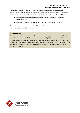Considering Queensland's geography, there would be particular challenges in selecting an appropriate location (or locations) for one or more secure care facilities, especially if a facility was intended to provide a State‐wide service. Particular challenges would be created in relation to:

- arrangements for transporting children from, and returning them to, their home communities, and
- maintaining children's connections with their family, community and culture.

These challenges would apply in respect of children's initial admissions into secure care as well as their re‐admissions were they to occur.

## **Your comments:**

*If secure care were to be introduced into Queensland, how many facilities should be established and where should they be located? What bed‐capacity should each facility have and should they be gender‐specific and/or restricted to a specified age group? What arrangements would need to be made for the transportation of children from, and returning them to, their home communities? What arrangements would need to be put in place to maintain children's connections with their family, community and culture?*

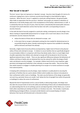## **How 'secure' is 'secure'?**

The term 'secure' does not represent an 'absolute' concept. Security is best thought of in terms of a continuum ranging from a low or minimum security level through to a level defined as high or maximum. When the term 'secure' is applied to a particular setting however, the general public often holds an expectation that the security is 'absolute' and escapes are viewed as indications of deficiencies in the facility design and/ or the incompetence of the facility's administrators or staff. It is noteworthy that over the past 25 years, there has been a dramatically decreased public tolerance of escapes from youth detention centres that has been met with a corresponding increase in security measures.

In line with the level of security assigned to a particular setting, contemporary security design is less about creating an impenetrable physical barrier to 'escape' and is much more about a mix of static and dynamic security measures that both:

- reduce the desire of those who are detained to escape, and
- in the event that an escape is attempted, prolong the time needed for detained persons to successfully bring this about, thereby maximising the response time available for attending staff to intervene and thwart the attempt.

Generally, a higher level of security will be accompanied by a higher level of threat to the physical safety of those who attempt to escape. In relation to secure facilities that are specifically designed to accommodate children in comparison with those that detain adults, there is a much higher level of public expectation that children who attempt to escape will not be placed at risk of incurring significant physical injury or death. There are also significant differences between the behaviours of children and those of adults who are detained that must be catered for within the design of both static and dynamic security strategies. For example, children tend to be far more impulsive, agile, persistent and dangerously foolhardy in their attempts to escape than adults. They are less likely than adults however to engage in complex planning of an escape or to receive assistance to escape from external parties.

In keeping with contemporary security design, major emphasis is usually placed on securing the perimeter of facilities that are used to detain children which enables less reliance to be placed on their confinement within rooms or buildings. The static security features of the design are generally not overt (e.g. perimeter fences are usually 'sunk' below the line of eyesight from within the grounds or buildings) to reduce the sense of confinement.

Beyond the level of requirements set for a secure facility in obstructing escapes, the design must also take into account levels of risk to the safety and well‐being of those who are detained based on an understanding that the act of confining a person and depriving them of their liberty can, in and of itself, either exacerbate pre‐existing risk factors or introduce new ones. This includes, in particular, debilitating psychological effects, increased suicidal ideation and increased displays of violent behaviour that may be self-directed and/ or directed at others.

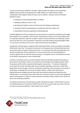A review of the literature (Children's Guardian, 2002; Guardian for Children and Young People (2008); Scottish Institute for Residential Care, 2009; Walker at al, 2005) indicates limited consideration of the negative impact of secure care on children. However, some of the factors identified include:

- isolating and institutionalising effects on children
- labelling of children as 'bad' or 'sick'
- diminishing of children's sense of control over their feelings and behaviour
- escalation of self-harming behaviours or behaviours that harm others, and
- exacerbation of previous experiences of being detained.

A skilfully applied mix of static and dynamic security measures is required to ameliorate and manage these impacts as far as possible. Given that the usual purpose of secure care to 'keep children safe', it is especially important to 'get this mix right' in order to ensure that the act of containing a child in secure care does not, in fact, exacerbate or add risks to the child's physical and psychological safety (i.e. that secure care does not turn into a 'solution that becomes the problem').

Consideration of these factors is apparent within New South Wales' secure care program description (2010) which states that "The physical environment of a therapeutic secure facility should maximise its primary functions of safety, therapy and security. It is important that while achieving safety and security, through close 24 hour supervision in a secure environment and removing objects to minimise opportunities for self‐harm where necessary, a therapeutic secure care facility also focuses on the child or young person's sense of well‐being".

A decision to introduce secure care would similarly require that detailed consideration be given to the purpose of the facility in order to ensure that its security design and strategies properly reflect this purpose and the facility's operational philosophies and practices. The decision‐making that occurs about this matter should also take account of public expectations and ways in which these expectations can be managed. Particular consideration would also need to be given to the impact of confinement on Aboriginal and Torres Strait Islander children, children with culturally and linguistically diverse backgrounds and those who have previously experienced detention when seeking asylum. As previously noted, other States have measures in place to consult with designated persons with expertise in relation to the best interests and needs of these children when referrals to secure care are being considered.

As asked by Commissioner Carmody during a public hearing of the inquiry, "What would it (a secure care facility) look like on the ground? Would it have chain wire around it with razor wire on the top or would it have guards with guns? What would it have, shrubs?" [40](#page-36-0)

<span id="page-44-0"></span><sup>1</sup> <sup>40</sup> Transcript, Paul Glass, 6 February 2013, Brisbane (P51: line 42)

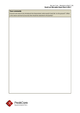## **Your comments:**

If secure care were to be introduced into Queensland, what would it look like 'on the ground'? What *is the nature and level of security that should be attached to the facility?*

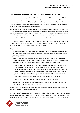## **How restrictive should secure care practices and procedures be?**

Secure care is not simply a 'place' in which children are accommodated and contained. Within a facility of this type, practices and procedures must be developed to manage the safety and security of children during the course of their daily living and interactions with each other as well as staff members and others. This requires consideration of any 'restrictive practices' that may be used in response to 'unsafe' behaviours of resident children.

Section IV of the *Rules for the Protection of Juveniles Deprived of their Liberty* state that the use of physical restraint and force in respect of detained children should be limited to exceptional cases explicitly authorised and specified by law and regulation wherein the physical restraint or force is used to prevent self‐injury, injuries to others or serious destruction of property. Corporal punishment is prohibited as is placement in a dark cell, closed or solitary confinement.

In Queensland, the Department's Positive Behaviour Support policy provides general guidance on managing the behaviour of children in care and specific guidance on the use of restrictive practices which are referred to within the policy as 'reactive responses'.

The policy states that:

*"When responding to unsafe behaviour of children and young people, carers and direct staff may be required to intervene with reasonable force to protect the child, oneself and others from injury or harm.*

*"Reactive responses are defined as immediate responses where reasonable force is necessary to respond to a child or young person's behaviour to ensure the safety of those involved while avoiding potential escalation of the behaviour. Reactive responses may include:*

- *Temporary physical restraint of a child or young person to prevent an injury or accident. This involves restricting the child or young person's freedom of physical movement to ensure their immediate safety or the safety of others. Physical restraint is the holding of any body part and should only continue so long at it is necessary for the child or young person to no longer be at risk of significant immediate harm to themselves or others.*
- *Removal of illegal or harmful objects that may be used to harm self or others.*
- *Relocation of a child or young person to another area that provides safety.*

*Reactive responses may only be used where there is a* high risk of immediate harm to the child or others should intervention be withheld".

The policy also lists 'prohibited practices' and stipulates reporting requirements in respect of any incidents involving use of a reactive response.

New South Wales' secure care program description highlights the importance of written procedures and staff training on crisis management. It states that training should include understanding crises, crisis communication, early identification and de‐escalation of potential crisis situations, use of safe,

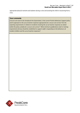appropriate physical restraint and isolation during a crisis and assisting the child in recovering from a crisis.

## **Your comments:**

*If secure care were to be introduced into Queensland, is the current Positive Behaviour Support policy and its approach to the use of reactive responses appropriate for a secure care service? Are the reporting requirements in relation to incidents involving the use of reactive responses as stated within the policy suitable for a secure care service? What minimum qualifications and/ or training requirements (if any) should be established to support staff in responding to the behaviours of resident children and the use of reactive responses?* 

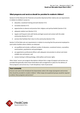## **What programs and services should be provided to resident children?**

Section IV of the *Rules for the Protection of Juveniles Deprived of their Liberty* sets out requirements in relation to children's access to:

- education, vocational training and work (Section IV E)
- recreation (Section IV F)
- opportunities to observe and practise their religious and spiritual beliefs (Section IV G)
- adequate medical care (Section IV H)
- regular and frequent visits with family and legal counsel and contact with the wider community (Section IV J), and
- services that facilitate their return to the community (Section IV N).

Section V of the *Rules* sets out requirements in relation to ensuring that the personnel employed to work within facilities where children are detained:

- are qualified and include a sufficient number of educators, vocational trainers, counsellors, social workers, psychiatrists and psychologists
- are appointed as professional officers with adequate remuneration to attract and retain suitable men and women, and
- receive training in child psychology, child welfare and human rights.

Other States' secure care program descriptions indicate that a range of program and services are provided that generally match those listed above with arrangements in place for the delivery of these programs and services by a 'multi‐disciplinary' team of personnel.

## **Your comments:**

*If secure care were to be introduced into Queensland, what is the range of programs and services that should be provided to resident children? What range of occupational groups would be required to deliver these programs and services?*

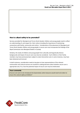## **How is cultural safety to be promoted?**

Services provided for Aboriginal and Torres Strait Islander children and young people need to reflect an understanding of, and respect for, their culture including the importance of maintaining connections with family, community and culture. Consideration of the placement of Aboriginal and Torres Strait Islander children and young people in secure care must incorporate the findings of the *Royal Commission into Aboriginal Deaths in Custody*.

Similarly, the needs of children and young people from culturally and linguistically diverse backgrounds and impact of secure care must also be considered. Such children or their family members may have previously been subject to state intervention and, in some instances, may have been detained and tortured.

In both instances, consideration needs to be given to how representatives of the relevant communities and cultural services are involved in making decisions about whether secure care is appropriate and, if so, how the potential impact of secure care may be ameliorated.

## **Your comments:**

*If secure care were to be introduced into Queensland, what measures would need to be taken to ensure the cultural safety of children?*

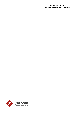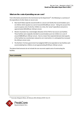## **What are the costs of providing secure care?**

From information presented to the Commission by the Department<sup>41</sup>, the following is a summary of the expenditure of other States on secure care:

- New South Wales expends around \$2.6M on a secure care facility that accommodates up to six children which equates to a cost of around \$433,000 per annum. Taking into account the usual occupancy rate of only four children at a time, the 'actual' expenditure amounts to approximately \$650,000 per child per annum.
- Western Australian has a total budget allocation of \$13.7M for two secure care facilities. These facilities were originally intended to accommodate up to ten children at a cost of around \$688,000 per child per annum. Due to a lower than expected demand, bed capacity of the facilities has recently been reduced to six in total which, it is anticipated has increased the child per annum costs.
- The Northern Territory government has budgeted \$4M to be expended on two facilities each accommodating four children at cost approximating \$0.5M per child per annum.

The above‐listed amounts do not include the non‐recurrent capital costs of constructing the facilities.

| <b>Your comments:</b> |
|-----------------------|
|                       |
|                       |
|                       |
|                       |
|                       |
|                       |
|                       |
|                       |
|                       |
|                       |
|                       |
|                       |
|                       |
|                       |

<sup>41</sup> Transcript, Margaret Allison, 26 February 2013, Brisbane (P107: line 17)



1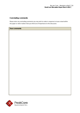## **Concluding comments**

Please enter any concluding comments you may wish to make in response to issues raised within this paper or other matters that you think are of importance to this discussion.

## **Your comments:**

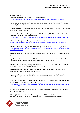# REFERENCES

Australian Defence Lawyers Alliance. (2013) Retrieved from [http://www.australiancriminallawyers.com.au/web/page/qld\\_law\\_deprivation\\_of\\_liberty](http://www.australiancriminallawyers.com.au/web/page/qld_law_deprivation_of_liberty)

Cashmore, J. & Paxman, M. (2007) *Longitudinal Study of Wards Leaving Care: Four to Five Years On*. Social Policy Research Centre, Sydney.

Children's Guardian (2002) *Is there a place for secure care in the provision of services for children and young people?* Author, Sydney.

Commission for Children and Young People and Child Guardian. (2009) *Views of Young People in Residential Care Queensland.* Retrieved from [http://www.ccypcg.qld.gov.au/resources/publications/views/ViewsYPResidentialCare\\_2009.html](http://www.ccypcg.qld.gov.au/resources/publications/views/ViewsYPResidentialCare_2009.html)

Dalton, Trent (2013) Little Girl Lost, Weekend Australian. Retrieved from [http://www.theaustralian.com.au/news/features/little](http://www.theaustralian.com.au/news/features/little-girl-lost/story-e6frg8h6-1226564961262)‐girl‐lost/story‐e6frg8h6‐1226564961262

Department for Child Protection. (2011) Secure Care Background Paper. Perth. Retrieved from [http://www.dcp.wa.gov.au/Resources/Documents/Policies%20and%20Frameworks/SecureCareBack](http://www.dcp.wa.gov.au/Resources/Documents/Policies and Frameworks/SecureCareBackgroundPaper2011.pdf) [groundPaper2011.pdf](http://www.dcp.wa.gov.au/Resources/Documents/Policies and Frameworks/SecureCareBackgroundPaper2011.pdf)

Department for Child Protection. (2011) *Kath French Secure Care Centre, Practice Guidelines*. Author, Perth.

Department of Children and Families (2010) *Enhancing Care and Support Services for Young People and Adults with High Risk Behaviours. Consultation Paper*. Author, Darwin.

Department of Children and Families (2012) *Public Release of the Care and Protection of Children (Therapeutic Orders) Amendment Bill 2012*. Author, Darwin.

Department of Human Services, Community Services (2010) *Out of Home Care Service Model, Therapeutic Secure Care Programs*. Author, Sydney.

Department of Human Services (2012) *Placement in secure welfare services, Child Protection Manual*. Author, Victoria

Fahey, L, & Hardman, B. (2010) *Therapeutic Secure Welfare NSW*. National Therapeutic Residential Care Workshop. Melbourne. Retrieved from http://www.dhs.vic.gov.au/ data/assets/pdf\_file/0006/587715/workshop-c5-therapeutic-securewelfare‐nsw‐[2010.pdf](http://www.dhs.vic.gov.au/__data/assets/pdf_file/0006/587715/workshop-c5-therapeutic-secure-welfare-nsw-2010.pdf)

Guardian for Children and Young People (2008) *Safe Keeping Orders in South Australia: Discussion Paper*. Author, Adelaide.

Giller, H. (2006) Is Secure Care Fair. *Community Care*, Sep 14‐Sep 20, 1640. Mooney, A., Statham, J., Knight, A. & Holmes, L. (2012) *Understanding the Market for Secure* 

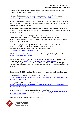*Children's Homes. Summary report. A rapid response study for the Department of Education*. Childhood Wellbeing Research Centre, London.

O'Connor, I. (1992) *Issues in juvenile justice in Queensland: new laws, old visions*. Retrieved from [http://www.aic.gov.au/media\\_library/publications/proceedings/22/oconner.pdf](http://www.aic.gov.au/media_library/publications/proceedings/22/oconner.pdf)

Osborn, A., Delfabbro, P. & Barber, J. (2008) The psychosocial functioning and family background of children experiencing significant placement instability in Australian out‐of‐home care, *Children and Youth Services Review*, 30, 847‐860.

Queensland the Commission of Inquiry into Abuse of Children in Queensland Institutions (1999) *Report of the Commission of Inquiry into Abuse of Children in Queensland Institutions (Forde Inquiry)*. The Inquiry, Brisbane.

Raman, S, Inder, B. & Forbes, C. (2005) *Investing for Success: The economics of supporting young people leaving care.* Centre for Excellence in Child and Family Welfare, Melbourne. Scottish Institute for Residential Child Care (2009) *Securing Our Future: A Way Forward for Scotland's Secure Care Estate*. Author, Glasgow.

Tarren‐Sweeney, M, & Hazell, P. (2006) Mental health of children in foster and kinship care in New South Wales, Australia, *Journal of Paediatrics and Child Health*, 42, 89‐97. United Nations, *Convention on the Rights of the Child*, Retrieved from <http://www2.ohchr.org/english/law/pdf/crc.pdf>

United Nations, *Rules for the Protection of Juveniles Deprived of their Liberty*, Retrieved from <http://www.wwda.org.au/juven1.pdf>

United Nations*, Standard Minimum Rules for the Administration of Juvenile Justice* (the Beijing Rules), retrieved from <http://www2.ohchr.org/english/law/pdf/beijingrules.pdf> Walker, M., Barclay, A., Hunter, L., Kendrick, A., Malloch, M., Hill, M. & McIvor, G. (2005) *Secure Accommodation in Scotland: Its Role and Relationship with 'Alternative' Services*. Scottish Executive. Edinburgh.

*Queensland Child Protection Commission of Inquiry transcripts of hearings* 

Allison, Margaret, 26 February 3013, Brisbane, retrieved from [http://www.childprotectioninquiry.qld.gov.au/\\_\\_data/assets/pdf\\_file/0019/176023/2013](http://www.childprotectioninquiry.qld.gov.au/__data/assets/pdf_file/0019/176023/2013-02-26-QCPCI-Day-45-Brisbane.pdf)-02-26-QCPCI‐Day‐45‐[Brisbane.pdf](http://www.childprotectioninquiry.qld.gov.au/__data/assets/pdf_file/0019/176023/2013-02-26-QCPCI-Day-45-Brisbane.pdf)

Bellamy, Michelle, 7 February 2013, Brisbane, Retrieved from [http://www.childprotectioninquiry.qld.gov.au/\\_\\_data/assets/pdf\\_file/0009/174978/2013](http://www.childprotectioninquiry.qld.gov.au/__data/assets/pdf_file/0009/174978/2013-02-07-QCPCI-Day-43-Brisbane.pdf)‐02‐07‐ QCPCI‐Day‐43‐[Brisbane.pdf](http://www.childprotectioninquiry.qld.gov.au/__data/assets/pdf_file/0009/174978/2013-02-07-QCPCI-Day-43-Brisbane.pdf)

Farrell, Kristina Farrell, 5 February 2013, Brisbane, Retrieved from http://www.childprotectioninquiry.qld.gov.au/ data/assets/pdf\_file/0005/174425/2013-02-05-QCPCI‐Day‐41‐[Brisbane.pdf](http://www.childprotectioninquiry.qld.gov.au/__data/assets/pdf_file/0005/174425/2013-02-05-QCPCI-Day-41-Brisbane.pdf)

Glass, Paul, 6 February 2013, Brisbane, retrieved from

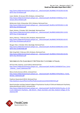[http://www.childprotectioninquiry.qld.gov.au/\\_\\_data/assets/pdf\\_file/0006/174723/2013](http://www.childprotectioninquiry.qld.gov.au/__data/assets/pdf_file/0006/174723/2013-02-06-QCPCI-Day-42-Brisbane.pdf)-02-06-QCPCI‐Day‐42‐[Brisbane.pdf](http://www.childprotectioninquiry.qld.gov.au/__data/assets/pdf_file/0006/174723/2013-02-06-QCPCI-Day-42-Brisbane.pdf)

Lewis, Natalie, 16 January 2013, Brisbane, retrieved from [http://www.childprotectioninquiry.qld.gov.au/\\_\\_data/assets/pdf\\_file/0018/172440/Day](http://www.childprotectioninquiry.qld.gov.au/__data/assets/pdf_file/0018/172440/Day-37-16-January-2013,-Brisbane.pdf)-37-16-January‐2013,‐[Brisbane.pdf,](http://www.childprotectioninquiry.qld.gov.au/__data/assets/pdf_file/0018/172440/Day-37-16-January-2013,-Brisbane.pdf)

McDermott, Brett, 8 November 2012, Brisbane, Retrieved from [http://www.childprotectioninquiry.qld.gov.au/\\_\\_data/assets/pdf\\_file/0011/167870/2012](http://www.childprotectioninquiry.qld.gov.au/__data/assets/pdf_file/0011/167870/2012-11-08-QCPCI-Day-33-Brisbane.pdf)-11-08-QCPCI‐Day‐33‐[Brisbane.pdf](http://www.childprotectioninquiry.qld.gov.au/__data/assets/pdf_file/0011/167870/2012-11-08-QCPCI-Day-33-Brisbane.pdf)

Payet, Antoine, 3 October 2012, Beenleigh, Retrieved from [http://www.childprotectioninquiry.qld.gov.au/\\_\\_data/assets/pdf\\_file/0005/163823/2012](http://www.childprotectioninquiry.qld.gov.au/__data/assets/pdf_file/0005/163823/2012-10-03-QCPCI-Day-21-Beenleigh.pdf)-10-03-QCPCI‐Day‐21‐[Beenleigh.pdf](http://www.childprotectioninquiry.qld.gov.au/__data/assets/pdf_file/0005/163823/2012-10-03-QCPCI-Day-21-Beenleigh.pdf)

Sherry, Marissa, 7 February 2013, Brisbane, Retrieved from [http://www.childprotectioninquiry.qld.gov.au/\\_\\_data/assets/pdf\\_file/0009/174978/2013](http://www.childprotectioninquiry.qld.gov.au/__data/assets/pdf_file/0009/174978/2013-02-07-QCPCI-Day-43-Brisbane.pdf p42-59)‐02‐07‐ QCPCI‐Day‐43‐[Brisbane.pdf](http://www.childprotectioninquiry.qld.gov.au/__data/assets/pdf_file/0009/174978/2013-02-07-QCPCI-Day-43-Brisbane.pdf p42-59) p42‐59

Waugh, Peter, 4 October 2012, Beenleigh, Retrieved from [http://www.childprotectioninquiry.qld.gov.au/\\_\\_data/assets/pdf\\_file/0010/163846/2012](http://www.childprotectioninquiry.qld.gov.au/__data/assets/pdf_file/0010/163846/2012-10-04-QCPCI-Day-22-Beenleigh.pdf)-10-04-QCPCI‐Day‐22‐[Beenleigh.pdf](http://www.childprotectioninquiry.qld.gov.au/__data/assets/pdf_file/0010/163846/2012-10-04-QCPCI-Day-22-Beenleigh.pdf)

Wall, Greg Wall, 5 February 2013, Brisbane, Retrieved from [http://www.childprotectioninquiry.qld.gov.au/\\_\\_data/assets/pdf\\_file/0005/174425/2013](http://www.childprotectioninquiry.qld.gov.au/__data/assets/pdf_file/0005/174425/2013-02-05-QCPCI-Day-40-Brisbane.pdf)‐02‐05‐ QCPCI‐Day‐40‐[Brisbane.pdf](http://www.childprotectioninquiry.qld.gov.au/__data/assets/pdf_file/0005/174425/2013-02-05-QCPCI-Day-40-Brisbane.pdf)

*Submissions to the Queensland Child Protection Commission of Inquiry* 

ACTCare Kids, Downey, Laurel (2012), Retrieved from http://www.childprotectioninquiry.qld.gov.au/ data/assets/pdf file/0011/163928/ACTCare Cairns [\\_Downey\\_\\_Laurel\\_Submission.PDF](http://www.childprotectioninquiry.qld.gov.au/__data/assets/pdf_file/0011/163928/ACTCare_Cairns_Downey__Laurel_Submission.PDF)

Mercy Family Services (2012), retrieved from [http://www.childprotectioninquiry.qld.gov.au/\\_\\_data/assets/pdf\\_file/0005/170762/Mercy\\_Family\\_](http://www.childprotectioninquiry.qld.gov.au/__data/assets/pdf_file/0005/170762/Mercy_Family_Services_Submission.pdf) Services Submission.pdf

PeakCare Queensland (2012), Retrieved from <http://peakcare.org.au/files/cms/files/PeakCaresubmission231012%5B1%5D.pdf>

Royal Australian and New Zealand College of Psychiatrists Faculty of Child and Adolescent Psychiatry, Queensland Branch (2012), retrieved from

http://www.childprotectioninquiry.qld.gov.au/ data/assets/pdf file/0019/163441/Faculty of Chil d and Adolescent Psychiatry Qld Branch Royal Australian and New Zealand College of Psy [chiatrists.PDF](http://www.childprotectioninquiry.qld.gov.au/__data/assets/pdf_file/0019/163441/Faculty_of_Child_and_Adolescent_Psychiatry__Qld_Branch__Royal_Australian_and_New_Zealand_College_of_Psychiatrists.PDF)